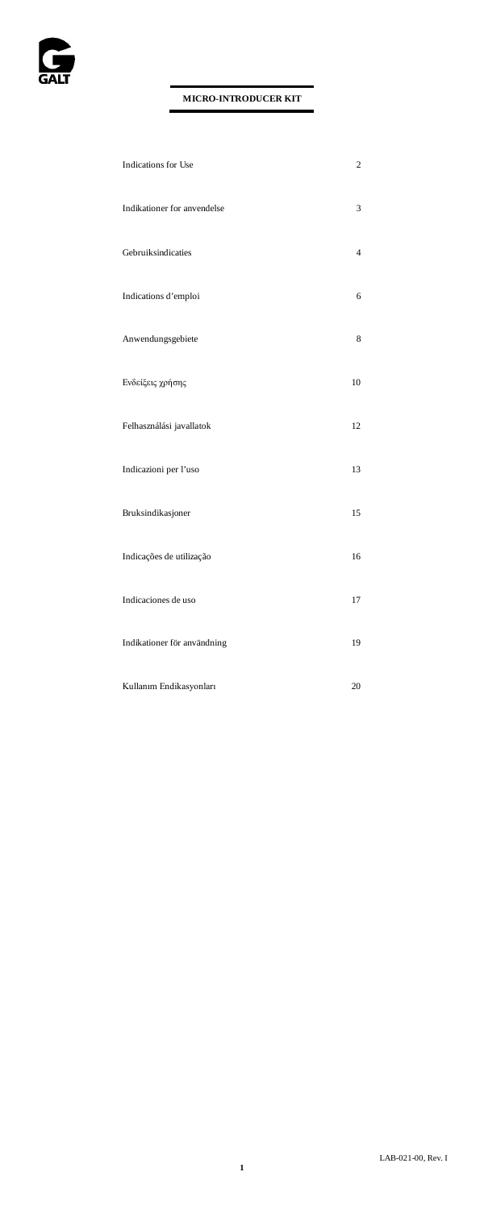

| Indications for Use         | $\overline{c}$ |
|-----------------------------|----------------|
| Indikationer for anvendelse | 3              |
| Gebruiksindicaties          | $\overline{4}$ |
| Indications d'emploi        | 6              |
| Anwendungsgebiete           | 8              |
| Ενδείξεις χρήσης            | 10             |
| Felhasználási javallatok    | 12             |
| Indicazioni per l'uso       | 13             |
| Bruksindikasjoner           | 15             |
| Indicações de utilização    | 16             |
| Indicaciones de uso         | 17             |
| Indikationer för användning | 19             |
| Kullanım Endikasyonları     | 20             |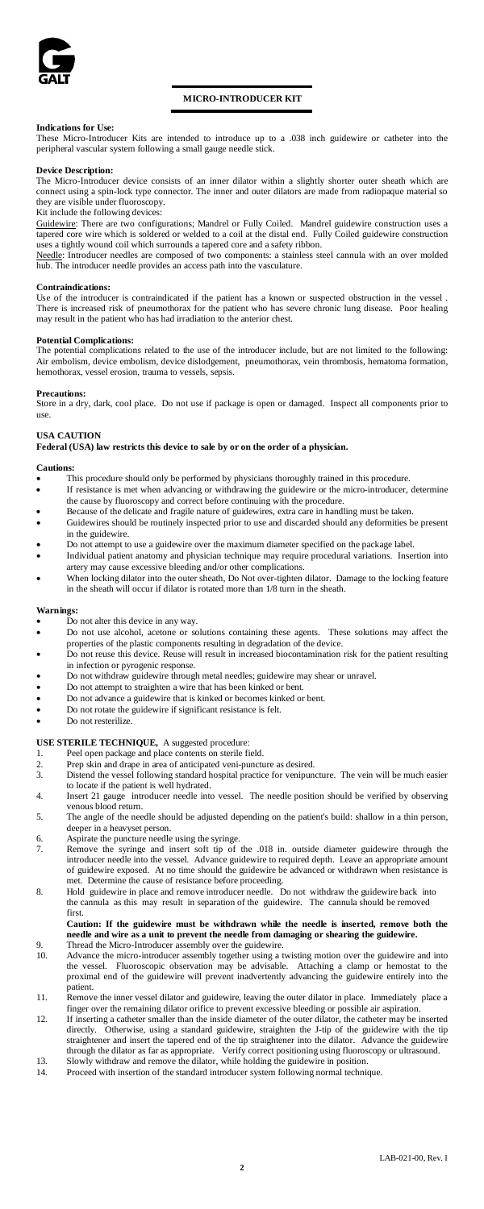

# **MICRO-INTRODUCER KIT**

# **Indications for Use:**

These Micro-Introducer Kits are intended to introduce up to a .038 inch guidewire or catheter into the peripheral vascular system following a small gauge needle stick.

### **Device Description:**

The Micro-Introducer device consists of an inner dilator within a slightly shorter outer sheath which are connect using a spin-lock type connector. The inner and outer dilators are made from radiopaque material so they are visible under fluoroscopy.

Kit include the following devices:

Guidewire: There are two configurations; Mandrel or Fully Coiled. Mandrel guidewire construction uses a tapered core wire which is soldered or welded to a coil at the distal end. Fully Coiled guidewire construction

uses a tightly wound coil which surrounds a tapered core and a safety ribbon.<br><u>Needle</u>: Introducer needles are composed of two components: a stainless steel cannula with an over molded hub. The introducer needle provides an access path into the vasculature.

### **Contraindications:**

Use of the introducer is contraindicated if the patient has a known or suspected obstruction in the vessel There is increased risk of pneumothorax for the patient who has severe chronic lung disease. Poor healing may result in the patient who has had irradiation to the anterior chest.

### **Potential Complications:**

The potential complications related to the use of the introducer include, but are not limited to the following: Air embolism, device embolism, device dislodgement, pneumothorax, vein thrombosis, hematoma formation, hemothorax, vessel erosion, trauma to vessels, sepsis.

### **Precautions:**

Store in a dry, dark, cool place. Do not use if package is open or damaged. Inspect all components prior to use.

# **USA CAUTION**

**Federal (USA) law restricts this device to sale by or on the order of a physician.** 

#### **Cautions:**

- This procedure should only be performed by physicians thoroughly trained in this procedure.<br>If resistance is met when advancing or withdrawing the quidewire or the micro-introducer
- If resistance is met when advancing or withdrawing the guidewire or the micro-introducer, determine the cause by fluoroscopy and correct before continuing with the procedure.
- Because of the delicate and fragile nature of guidewires, extra care in handling must be taken.<br>Cuidewires should be mutinaly inspected prior to use and discorded should any deformities. Guidewires should be routinely inspected prior to use and discarded should any deformities be present in the guidewire.
- Do not attempt to use a guidewire over the maximum diameter specified on the package label.
- Individual patient anatomy and physician technique may require procedural variations. Insertion into artery may cause excessive bleeding and/or other complications.
- When locking dilator into the outer sheath, Do Not over-tighten dilator. Damage to the locking feature in the sheath will occur if dilator is rotated more than 1/8 turn in the sheath.

# **Warnings:**

- Do not alter this device in any way.
- Do not use alcohol, acetone or solutions containing these agents. These solutions may affect the properties of the plastic components resulting in degradation of the device. • Do not reuse this device. Reuse will result in increased biocontamination risk for the patient resulting
- in infection or pyrogenic response.
- Do not withdraw guidewire through metal needles; guidewire may shear or unravel.<br>• Do not attempt to straighten a wire that has been kinked or bent.
- Do not attempt to straighten a wire that has been kinked or bent.<br>• Do not advance a quidewire that is kinked or becomes kinked or
- Do not advance a guidewire that is kinked or becomes kinked or bent.
- Do not rotate the guidewire if significant resistance is felt.
- Do not resterilize.

# **USE STERILE TECHNIQUE,** A suggested procedure:

- 
- 1. Peel open package and place contents on sterile field.<br>
2. Prep skin and drape in area of anticipated veni-punct<br>
3. Distend the vessel following standard hospital practic Prep skin and drape in area of anticipated veni-puncture as desired. 3. Distend the vessel following standard hospital practice for venipuncture. The vein will be much easier to locate if the patient is well hydrated.
- 4. Insert 21 gauge introducer needle into vessel. The needle position should be verified by observing venous blood return.
- 5. The angle of the needle should be adjusted depending on the patient's build: shallow in a thin person, deeper in a heavyset person.
- 6. Aspirate the puncture needle using the syringe.<br>
The syringe and insert soft tip of
- 7. Remove the syringe and insert soft tip of the .018 in. outside diameter guidewire through the introducer needle into the vessel. Advance guidewire to required depth. Leave an appropriate amount of guidewire exposed. At no time should the guidewire be advanced or withdrawn when resistance is<br>met. Determine the cause of resistance before proceeding met. Determine the cause of resistance before proceeding.
- 8. Hold guidewire in place and remove introducer needle. Do not withdraw the guidewire back into the cannula as this may result in separation of the guidewire. The cannula should be removed first.

# **Caution: If the guidewire must be withdrawn while the needle is inserted, remove both the needle and wire as a unit to prevent the needle from damaging or shearing the guidewire.**

- 9. Thread the Micro-Introducer assembly over the guidewire. 10. Advance the micro-introducer assembly together using a twisting motion over the guidewire and into the vessel. Fluoroscopic observation may be advisable. Attaching a clamp or hemostat to the proximal end of the guidewire will prevent inadvertently advancing the guidewire entirely into the patient.
- 11. Remove the inner vessel dilator and guidewire, leaving the outer dilator in place. Immediately place a finger over the remaining dilator orifice to prevent excessive bleeding or possible air aspiration.
- 12. If inserting a catheter smaller than the inside diameter of the outer dilator, the catheter may be inserted directly. Otherwise, using a standard guidewire, straighten the J-tip of the guidewire with the tip straightener and insert the tapered end of the tip straightener into the dilator. Advance the guidewire through the dilator as far as appropriate. Verify correct positioning using fluoroscopy or ultrasound. 13. Slowly withdraw and remove the dilator, while holding the guidewire in position.
- 14. Proceed with insertion of the standard introducer system following normal technique.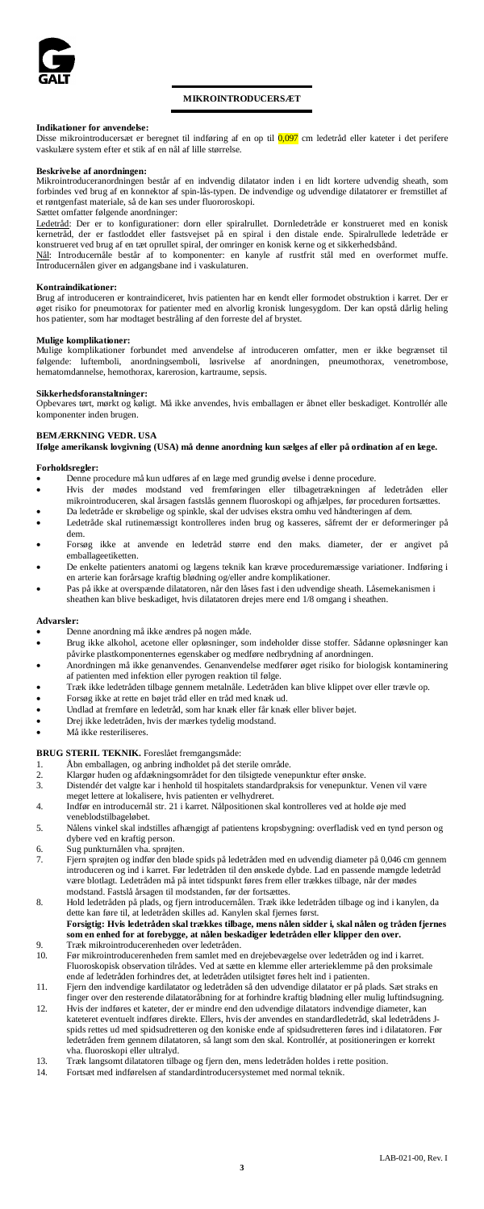

# **MIKROINTRODUCERSÆT**

**Indikationer for anvendelse:**<br>Disse mikrointroducersæt er beregnet til indføring af en op til <mark>0,097</mark> cm ledetråd eller kateter i det perifere vaskulære system efter et stik af en nål af lille størrelse.

### **Beskrivelse af anordningen:**

Mikrointroduceranordningen består af en indvendig dilatator inden i en lidt kortere udvendig sheath, som forbindes ved brug af en konnektor af spin-lås-typen. De indvendige og udvendige dilatatorer er fremstillet af et røntgenfast materiale, så de kan ses under fluororoskopi.

# Sættet omfatter følgende anordninger:

Ledetråd: Der er to konfigurationer: dorn eller spiralrullet. Dornledetråde er konstrueret med en konisk kernetråd, der er fastloddet eller fastsvejset på en spiral i den distale ende. Spiralrullede ledetråde er konstrueret ved brug af en tæt oprullet spiral, der omringer en konisk kerne og et sikkerhedsbånd.<br><u>Nål</u>: Introducernåle består af to komponenter: en kanyle af rustfrit stål med en overformet muffe.

Introducernålen giver en adgangsbane ind i vaskulaturen.

### **Kontraindikationer:**

Brug af introduceren er kontraindiceret, hvis patienten har en kendt eller formodet obstruktion i karret. Der er øget risiko for pneumotorax for patienter med en alvorlig kronisk lungesygdom. Der kan opstå dårlig heling hos patienter, som har modtaget bestråling af den forreste del af brystet.

#### **Mulige komplikationer:**

Mulige komplikationer forbundet med anvendelse af introduceren omfatter, men er ikke begrænset til<br>følgende: luftemboli, anordningsemboli, løsrivelse af anordningen, pneumothorax, venetrombose,<br>hematomdannelse,hemothorax,k

**Sikkerhedsforanstaltninger:** Opbevares tørt, mørkt og køligt. Må ikke anvendes, hvis emballagen er åbnet eller beskadiget. Kontrollér alle komponenter inden brugen.

# **BEMÆRKNING VEDR. USA**

**Ifølge amerikansk lovgivning (USA) må denne anordning kun sælges af eller på ordination af en læge.**

# **Forholdsregler:**

- Denne procedure må kun udføres af en læge med grundig øvelse i denne procedure.<br>• Hvis der mødes modstand ved fremføringen eller tilbagetrækningen af
- Hvis der mødes modstand ved fremføringen eller tilbagetrækningen af ledetråden eller mikrointroduceren, skal årsagen fastslås gennem fluoroskopi og afhjælpes, før proceduren fortsættes.
- Da ledetråde er skrøbelige og spinkle, skal der udvises ekstra omhu ved håndteringen af dem. • Ledetråde skal rutinemæssigt kontrolleres inden brug og kasseres, såfremt der er deformeringer på dem.
- Forsøg ikke at anvende en ledetråd større end den maks. diameter, der er angivet på emballageetiketten.
- De enkelte patienters anatomi og lægens teknik kan kræve proceduremæssige variationer. Indføring i en arterie kan forårsage kraftig blødning og/eller andre komplikationer.
- Pas på ikke at overspænde dilatatoren, når den låses fast i den udvendige sheath. Låsemekanismen i sheathen kan blive beskadiget, hvis dilatatoren drejes mere end 1/8 omgang i sheathen.

# **Advarsler:**

- Denne anordning må ikke ændres på nogen måde.
- Brug ikke alkohol, acetone eller opløsninger, som indeholder disse stoffer. Sådanne opløsninger kan påvirke plastkomponenternes egenskaber og medføre nedbrydning af anordningen.
- Anordningen må ikke genanvendes. Genanvendelse medfører øget risiko for biologisk kontaminering af patienten med infektion eller pyrogen reaktion til følge.
- Træk ikke ledetråden tilbage gennem metalnåle. Ledetråden kan blive klippet over eller trævle op.
- Forsøg ikke at rette en bøjet tråd eller en tråd med knæk ud.
- Undlad at fremføre en ledetråd, som har knæk eller får knæk eller bliver bøjet. • Drej ikke ledetråden, hvis der mærkes tydelig modstand.<br>
Må ikke recteriliseres
- Må ikke resteriliseres

# **BRUG STERIL TEKNIK.** Foreslået fremgangsmåde:

- 1. Åbn emballagen, og anbring indholdet på det sterile område.
- 2. Klargør huden og afdækningsområdet for den tilsigtede venepunktur efter ønske. 3. Distendér det valgte kar i henhold til hospitalets standardpraksis for venepunktur. Venen vil være
- meget lettere at lokalisere, hvis patienten er velhydreret. 4. Indfør en introducernål str. 21 i karret. Nålpositionen skal kontrolleres ved at holde øje med
- veneblodstilbageløbet.
- 5. Nålens vinkel skal indstilles afhængigt af patientens kropsbygning: overfladisk ved en tynd person og dybere ved en kraftig person.
- 
- 6. Sug punkturnålen vha. sprøjten. 7. Fjern sprøjten og indfør den bløde spids på ledetråden med en udvendig diameter på 0,046 cm gennem introduceren og ind i karret. Før ledetråden til den ønskede dybde. Lad en passende mængde ledetråd være blotlagt. Ledetråden må på intet tidspunkt føres frem eller trækkes tilbage, når der mødes
- modstand. Fastslå årsagen til modstanden, før der fortsættes.<br>8. Hold ledertåden på plads, og fjern introducemålen. Træk ikke ledetråden tilbage og ind i kanylen, da<br>dette kan føre til, at ledetråden skilles ad. Ka **Forsigtig: Hvis ledetråden skal trækkes tilbage, mens nålen sidder i, skal nålen og tråden fjernes**
- **som en enhed for at forebygge, at nålen beskadiger ledetråden eller klipper den over.** 9. Træk mikrointroducerenheden over ledetråden.<br>10. Før mikrointroducerenheden frem samlet med e 10. Før mikrointroducerenheden frem samlet med en drejebevægelse over ledetråden og ind i karret.
- Fluoroskopisk observation tilrådes. Ved at sætte en klemme eller arterieklemme på den proksimale ende af ledetråden forhindres det, at ledetråden utilsigtet føres helt ind i patienten. 11. Fjern den indvendige kardilatator og ledetråden så den udvendige dilatator er på plads. Sæt straks en
- finger over den resterende dilatatoråbning for at forhindre kraftig blødning eller mulig luftindsugning. 12. Hvis der indføres et kateter, der er mindre end den udvendige dilatators indvendige diameter, kan kateteret eventuelt indføres direkte. Ellers, hvis der anvendes en standardledetråd, skal ledetrådens Jspids rettes ud med spidsudretteren og den koniske ende af spidsudretteren føres ind i dilatatoren. Før ledetråden frem gennem dilatatoren, så langt som den skal. Kontrollér, at positioneringen er korrekt vha. fluoroskopi
- 13. Træk langsomt dilatatoren tilbage og fjern den, mens ledetråden holdes i rette position.<br>14. Fortsæt med indførelsen af standardintroducersystemet med normal teknik.
- Fortsæt med indførelsen af standardintroducersystemet med normal teknik.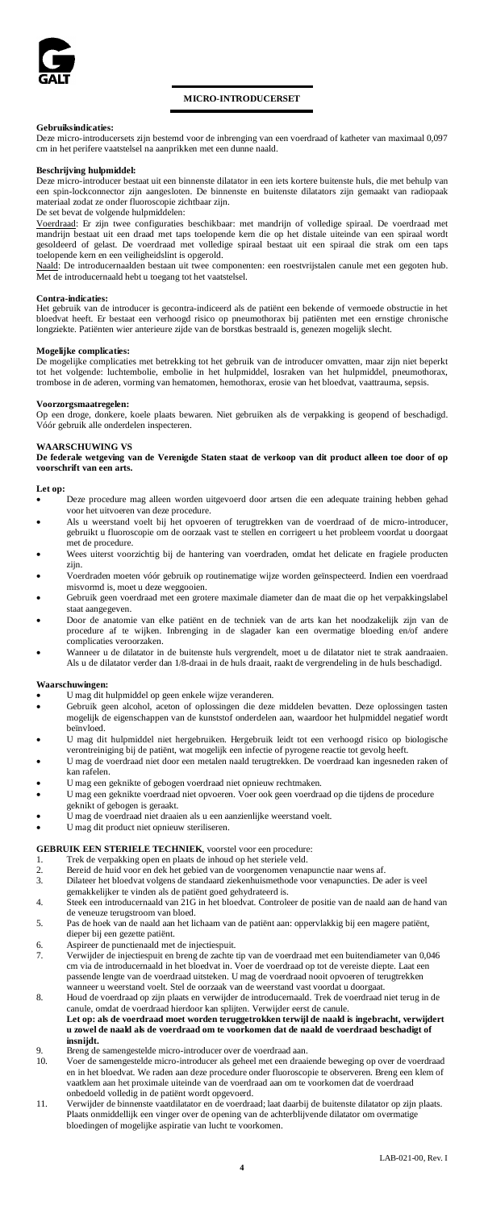

# **MICRO-INTRODUCERSET**

# **Gebruiksindicaties:**

Deze micro-introducersets zijn bestemd voor de inbrenging van een voerdraad of katheter van maximaal 0,097 cm in het perifere vaatstelsel na aanprikken met een dunne naald.

### **Beschrijving hulpmiddel:**

-introducer bestaat uit een binnenste dilatator in een iets kortere buitenste huls, die met behulp van een spin-lockconnector zijn aangesloten. De binnenste en buitenste dilatators zijn gemaakt van radiopaak materiaal zodat ze onder fluoroscopie zichtbaar zijn. De set bevat de volgende hulpmiddelen:

Voerdraad: Er zijn twee configuraties beschikbaar: met mandrijn of volledige spiraal. De voerdraad met mandrijn bestaat uit een draad met taps toelopende kern die op het distale uiteinde van een spiraal wordt gesoldeerd of gelast. De voerdraad met volledige spiraal bestaat uit een spiraal die strak om een taps toelopende kern en een veiligheidslint is opgerold.

Naald: De introducernaalden bestaan uit twee componenten: een roestvrijstalen canule met een gegoten hub. Met de introducernaald hebt u toegang tot het vaatstelsel.

# **Contra-indicaties:**

Het gebruik van de introducer is gecontra-indiceerd als de patiënt een bekende of vermoede obstructie in het bloedvat heeft. Er bestaat een verhoogd risico op pneumothorax bij patiënten met een ernstige chronische longziekte. Patiënten wier anterieure zijde van de borstkas bestraald is, genezen mogelijk slecht.

# **Mogelijke complicaties:**

De mogelijke complicaties met betrekking tot het gebruik van de introducer omvatten, maar zijn niet beperkt tot het volgende: luchtembolie, embolie in het hulpmiddel, losraken van het hulpmiddel, pneumothorax, trombose in de aderen, vorming van hematomen, hemothorax, erosie van het bloedvat, vaattrauma, sepsis.

**Voorzorgsmaatregelen:** Op een droge, donkere, koele plaats bewaren. Niet gebruiken als de verpakking is geopend of beschadigd. Vóór gebruik alle onderdelen inspecteren.

### **WAARSCHUWING VS**

**De federale wetgeving van de Verenigde Staten staat de verkoop van dit product alleen toe door of op voorschrift van een arts.**

# **Let op:**

- Deze procedure mag alleen worden uitgevoerd door artsen die een adequate training hebben gehad voor het uitvoeren van deze procedure.
- Als u weerstand voelt bij het opvoeren of terugtrekken van de voerdraad of de micro-introducer, gebruikt u fluoroscopie om de oorzaak vast te stellen en corrigeert u het probleem voordat u doorgaat met de procedure.
- Wees uiterst voorzichtig bij de hantering van voerdraden, omdat het delicate en fragiele producten zijn.
- Voerdraden moeten vóór gebruik op routinematige wijze worden geïnspecteerd. Indien een voerdraad misvormd is, moet u deze weggooien. • Gebruik geen voerdraad met een grotere maximale diameter dan de maat die op het verpakkingslabel
- staat aangegeven.
- Door de anatomie van elke patiënt en de techniek van de arts kan het noodzakelijk zijn van de procedure af te wijken. Inbrenging in de slagader kan een overmatige bloeding en/of andere complicaties veroorzaken.
- Wanneer u de dilatator in de buitenste huls vergrendelt, moet u de dilatator niet te strak aandraaien. Als u de dilatator verder dan 1/8-draai in de huls draait, raakt de vergrendeling in de huls beschadigd.

# **Waarschuwingen:**

- U mag dit hulpmiddel op geen enkele wijze veranderen.
- Gebruik geen alcohol, aceton of oplossingen die deze middelen bevatten. Deze oplossingen tasten mogelijk de eigenschappen van de kunststof onderdelen aan, waardoor het hulpmiddel negatief wordt beïnvloed.
- U mag dit hulpmiddel niet hergebruiken. Hergebruik leidt tot een verhoogd risico op biologische verontreiniging bij de patiënt, wat mogelijk een infectie of pyrogene reactie tot gevolg heeft.
- U mag de voerdraad niet door een metalen naald terugtrekken. De voerdraad kan ingesneden raken of kan rafelen.
- 
- U mag een geknikte of gebogen voerdraad niet opnieuw rechtmaken. U mag een geknikte voerdraad niet opvoeren. Voer ook geen voerdraad op die tijdens de procedure
- geknikt of gebogen is geraakt.
- U mag de voerdraad niet draaien als u een aanzienlijke weerstand voelt.
- U mag dit product niet opnieuw steriliseren.

# **GEBRUIK EEN STERIELE TECHNIEK**, voorstel voor een procedure:<br>1. Trek de verpakking open en plaats de inhoud op het steriele veld.

- 
- 2. Bereid de huid voor en dek het gebied van de voorgenomen venapunctie naar wens af.<br>3. Dilateer het bloedvat volgens de standaard ziekenbuismethode voor venapuncties. De
- 3. Dilateer het bloedvat volgens de standaard ziekenhuismethode voor venapuncties. De ader is veel
- gemakkelijker te vinden als de patiënt goed gehydrateerd is. 4. Steek een introducernaald van 21G in het bloedvat. Controleer de positie van de naald aan de hand van
- de veneuze terugstroom van bloed. 5. Pas de hoek van de naald aan het lichaam van de patiënt aan: oppervlakkig bij een magere patiënt,
- dieper bij een gezette patiënt.
- 
- 6. Aspireer de punctienaald met de injectiespuit. 7. Verwijder de injectiespuit en breng de zachte tip van de voerdraad met een buitendiameter van 0,046 cm via de introducernaald in het bloedvat in. Voer de voerdraad op tot de vereiste diepte. Laat een passende lengte van de voerdraad uitsteken. U mag de voerdraad nooit opvoeren of terugtrekken wanneer u weerstand voelt. Stel de oorzaak van de weerstand vast voordat u doorgaat.
- 8. Houd de voerdraad op zijn plaats en verwijder de introducernaald. Trek de voerdraad niet terug in de canule, omdat de voerdraad hierdoor kan splijten. Verwijder eerst de canule. **Let op: als de voerdraad moet worden teruggetrokken terwijl de naald is ingebracht, verwijdert** 
	- **u zowel de naald als de voerdraad om te voorkomen dat de naald de voerdraad beschadigt of insnijdt.**
- 9. Breng de samengestelde micro-introducer over de voerdraad aan.<br>10. Voer de samengestelde micro-introducer als geheel met een draai
- 10. Voer de samengestelde micro-introducer als geheel met een draaiende beweging op over de voerdraad en in het bloedvat. We raden aan deze procedure onder fluoroscopie te observeren. Breng een klem of vaatklem aan het proximale uiteinde van de voerdraad aan om te voorkomen dat de voerdraad
- onbedoeld volledig in de patiënt wordt opgevoerd. 11. Verwijder de binnenste vaatdilatator en de voerdraad; laat daarbij de buitenste dilatator op zijn plaats. Plaats onmiddellijk een vinger over de opening van de achterblijvende dilatator om overmatige bloedingen of mogelijke aspiratie van lucht te voorkomen.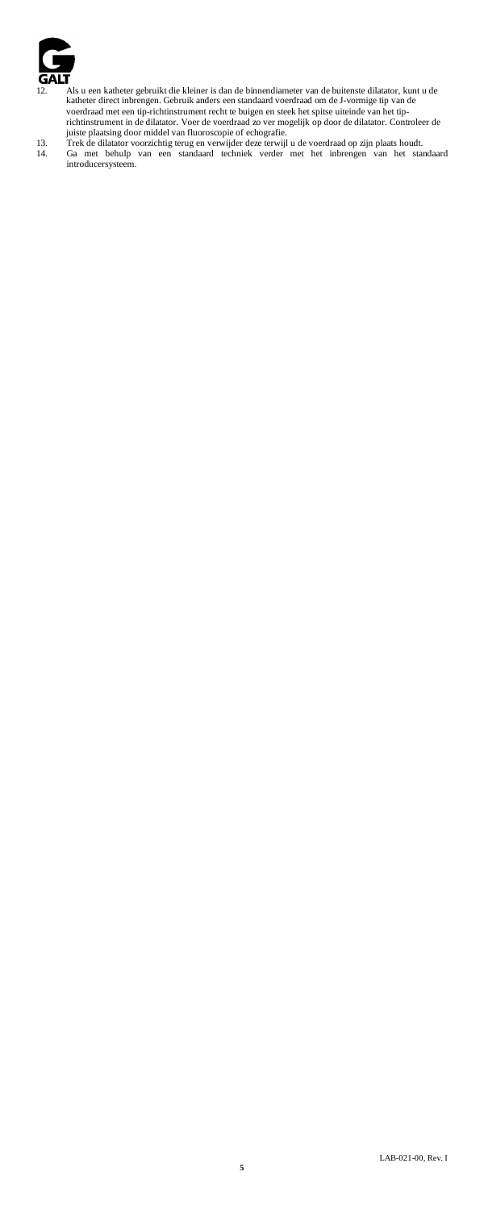

- 12. Als u een katheter gebruikt die kleiner is dan de binnendiameter van de buitenste dilatator, kunt u de katheter direct inherengn. Gebruik anders een standaard voerdraad om de J-vomige tip van de voerdraad met een tip-
-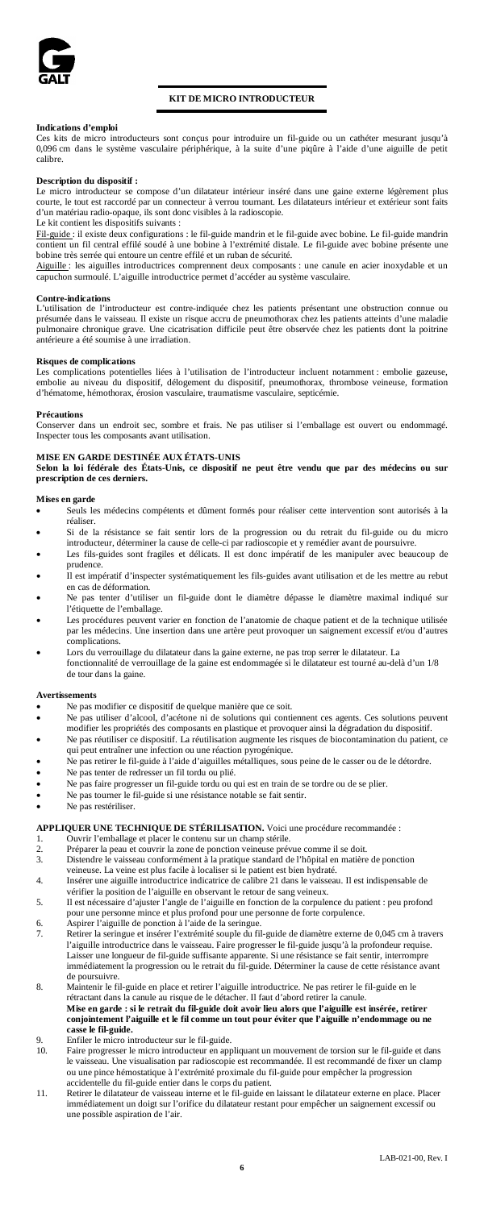

# **KIT DE MICRO INTRODUCTEUR**

# **Indications d'emploi**

Ces kits de micro introducteurs sont conçus pour introduire un fil-guide ou un cathéter mesurant jusqu'à 0,096 cm dans le système vasculaire périphérique, à la suite d'une piqûre à l'aide d'une aiguille de petit calibre.

# **Description du dispositif :**

Le micro introducteur se compose d'un dilatateur intérieur inséré dans une gaine externe légèrement plus courte, le tout est raccordé par un connecteur à verrou tournant. Les dilatateurs intérieur et extérieur sont faits d'un matériau radio-opaque, ils sont donc visibles à la radioscopie.

Le kit contient les dispositifs suivants : Fil-guide : il existe deux configurations : le fil-guide mandrin et le fil-guide avec bobine. Le fil-guide mandrin contient un fil central effilé soudé à une bobine à l'extrémité distale. Le fil-guide avec bobine présente une bobine très serrée qui entoure un centre effilé et un ruban de sécurité.

Aiguille : les aiguilles introductrices comprennent deux composants : une canule en acier inoxydable et un capuchon surmoulé. L'aiguille introductrice permet d'accéder au système vasculaire.

# **Contre-indications**

L'utilisation de l'introducteur est contre-indiquée chez les patients présentant une obstruction connue ou présumée dans le vaisseau. Il existe un risque accru de pneumothorax chez les patients atteints d'une maladie pulmonaire chronique grave. Une cicatrisation difficile peut être observée chez les patients dont la poitrine antérieure a été soumise à une irradiation.

**Risques de complications**<br>Les complications potentielles liées à l'utilisation de l'introducteur incluent notamment : embolie gazeuse,<br>embolie au niveau du dispositif, délogement du dispositif, pneumothorax, thrombose vei

**Précautions** Conserver dans un endroit sec, sombre et frais. Ne pas utiliser si l'emballage est ouvert ou endommagé. Inspecter tous les composants avant utilisation.

**MISE EN GARDE DESTINÉE AUX ÉTATS-UNIS Selon la loi fédérale des États-Unis, ce dispositif ne peut être vendu que par des médecins ou sur prescription de ces derniers.**

# **Mises en garde**

- Seuls les médecins compétents et dûment formés pour réaliser cette intervention sont autorisés à la réaliser.
- Si de la résistance se fait sentir lors de la progression ou du retrait du fil-guide ou du micro introducteur, déterminer la cause de celle-ci par radioscopie et y remédier avant de poursuivre.
- Les fils-guides sont fragiles et délicats. Il est donc impératif de les manipuler avec beaucoup de prudence.
- Il est impératif d'inspecter systématiquement les fils-guides avant utilisation et de les mettre au rebut en cas de déformation.
- Ne pas tenter d'utiliser un fil-guide dont le diamètre dépasse le diamètre maximal indiqué sur l'étiquette de l'emballage.
- Les procédures peuvent varier en fonction de l'anatomie de chaque patient et de la technique utilisée par les médecins. Une insertion dans une artère peut provoquer un saignement excessif et/ou d'autres complications.
- Lors du verrouillage du dilatateur dans la gaine externe, ne pas trop serrer le dilatateur. La fonctionnalité de verrouillage de la gaine est endommagée si le dilatateur est tourné au-delà d'un 1/8 de tour dans la gaine.

### **Avertissements**

- Ne pas modifier ce dispositif de quelque manière que ce soit.<br>• Ne pas utiliser d'alcool d'acétone ni de solutions qui conti
- Ne pas utiliser d'alcool, d'acétone ni de solutions qui contiennent ces agents. Ces solutions peuvent modifier les propriétés des composants en plastique et provoquer ainsi la dégradation du dispositif.
- Ne pas réutiliser ce dispositif. La réutilisation augmente les risques de biocontamination du patient, ce qui peut entraîner une infection ou une réaction pyrogénique.
- Per pas retirer le fil-guide à l'aide d'aiguilles métalliques, sous peine de le casser ou de le détordre.<br>• Ne pas retirer le fil-guide à l'aide d'aiguilles métalliques, sous peine de le casser ou de le détordre.
- Ne pas tenter de redresser un fil tordu ou plié. • Ne pas faire progresser un fil-guide tordu ou qui est en train de se tordre ou de se plier.
- Ne pas tourner le fil-guide si une résistance notable se fait sentir.
- Ne pas restériliser.

# **APPLIQUER UNE TECHNIQUE DE STÉRILISATION.** Voici une procédure recommandée :

- 1. Ouvrir l'emballage et placer le contenu sur un champ stérile.<br>2. Préparer la neau et couvrir la zone de nonction veineuse prév
- 2. Préparer la peau et couvrir la zone de ponction veineuse prévue comme il se doit.<br>3. Distendre le vaisseau conformément à la pratique standard de l'hôpital en matière
- 3. Distendre le vaisseau conformément à la pratique standard de l'hôpital en matière de ponction veineuse. La veine est plus facile à localiser si le patient est bien hydraté.
- 4. Insérer une aiguille introductrice indicatrice de calibre 21 dans le vaisseau. Il est indispensable de vérifier la position de l'aiguille en observant le retour de sang veineux. 5. Il est nécessaire d'ajuster l'angle de l'aiguille en fonction de la corpulence du patient : peu profond
- pour une personne mince et plus profond pour une personne de forte corpulence.
- 6. Aspirer l'aiguille de ponction à l'aide de la seringue. 7. Retirer la seringue et insérer l'extrémité souple du fil-guide de diamètre externe de 0,045 cm à travers l'aiguille introductrice dans le vaisseau. Faire progresser le fil-guide jusqu'à la profondeur requise. Laisser une longueur de fil-guide suffisante apparente. Si une résistance se fait sentir, interrompre immédiatement la progression ou le retrait du fil-guide. Déterminer la cause de cette résistance avant
- de poursuivre.<br>Maintenir le f 8. Maintenir le fil-guide en place et retirer l'aiguille introductrice. Ne pas retirer le fil-guide en le rétractant dans la canule au risque de le détacher. Il faut d'abord retirer la canule.
	- **Mise en garde : si le retrait du fil-guide doit avoir lieu alors que l'aiguille est insérée, retirer conjointement l'aiguille et le fil comme un tout pour éviter que l'aiguille n'endommage ou ne casse le fil-guide.**
- 9. Enfiler le micro introducteur sur le fil-guide.<br>10 Faire progresser le micro introducteur en apr
- 10. Faire progresser le micro introducteur en appliquant un mouvement de torsion sur le fil-guide et dans le vaisseau. Une visualisation par radioscopie est recommandée. Il est recommandé de fixer un clamp ou une pince hémostatique à l'extrémité proximale du fil-guide pour empêcher la progression telle du fil-guide entier dans le corps du patient.
- 11. Retirer le dilatateur de vaisseau interne et le fil-guide en laissant le dilatateur externe en place. Placer immédiatement un doigt sur l'orifice du dilatateur restant pour empêcher un saignement excessif ou une possible aspiration de l'air.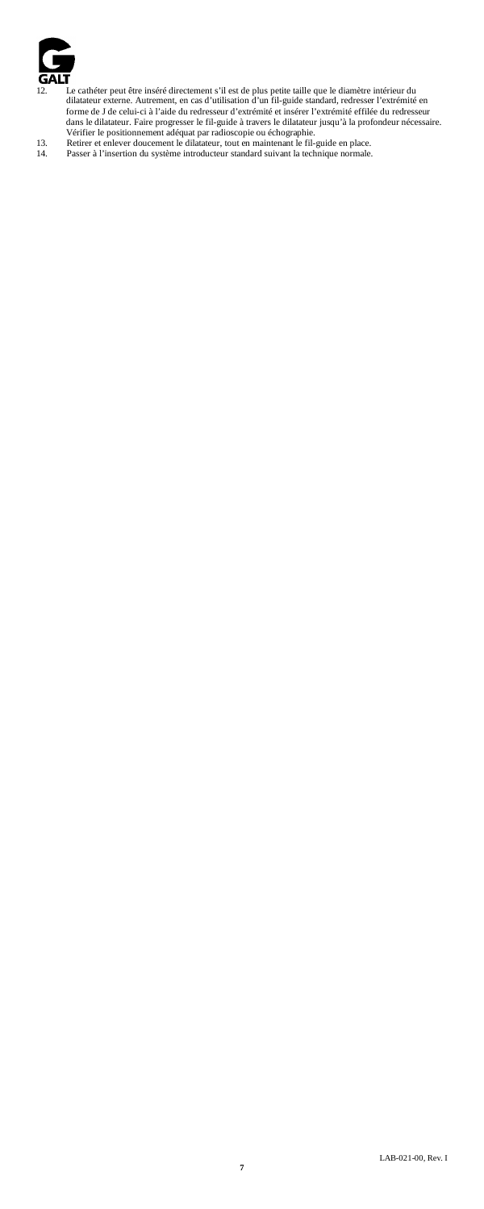

- 12. Le cathéter peut être inséré directement s'il est de plus petite taille que le diamètre intérieur du<br>diatateur externe. Autrement, en cas d'utilisation d'un fil-guide standard, redresser l'extrémité en<br>forme de J de ce
-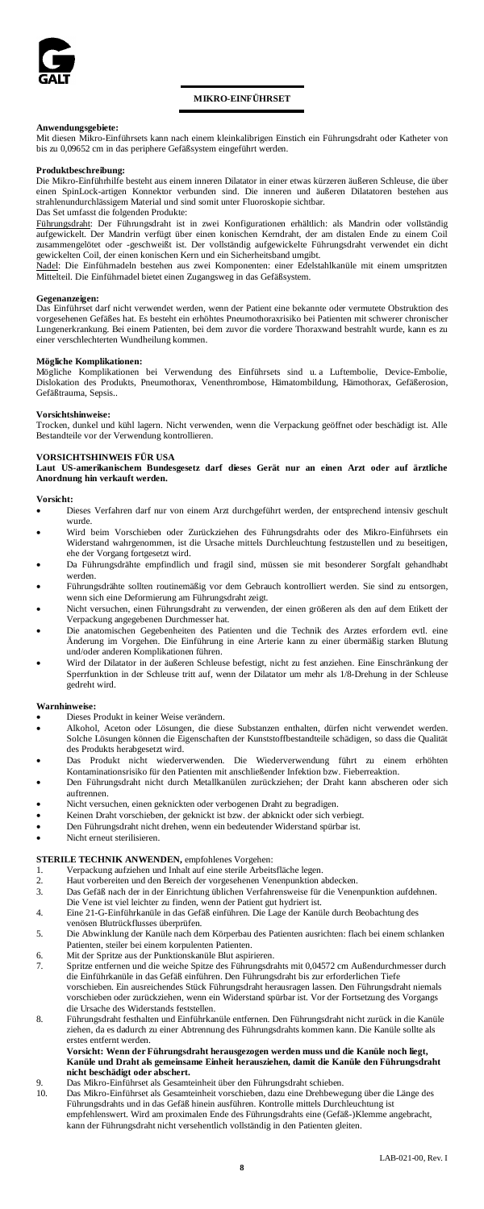

# **MIKRO-EINFÜHRSET**

**Anwendungsgebiete:** Mit diesen Mikro-Einführsets kann nach einem kleinkalibrigen Einstich ein Führungsdraht oder Katheter von bis zu 0,09652 cm in das periphere Gefäßsystem eingeführt werden.

### **Produktbeschreibung:**

Die Mikro-Einführhilfe besteht aus einem inneren Dilatator in einer etwas kürzeren äußeren Schleuse, die über einen SpinLock-artigen Konnektor verbunden sind. Die inneren und äußeren Dilatatoren bestehen aus strahlenundurchlässigem Material und sind somit unter Fluoroskopie sichtbar.

# Das Set umfasst die folgenden Produkte:

Führungsdraht: Der Führungsdraht ist in zwei Konfigurationen erhältlich: als Mandrin oder vollständig aufgewickelt. Der Mandrin verfügt über einen konischen Kerndraht, der am distalen Ende zu einem Coil zusammengelötet oder -geschweißt ist. Der vollständig aufgewickelte Führungsdraht verwendet ein dicht gewickelten Coil, der einen konischen Kern und ein Sicherheitsband umgibt.

Nadel: Die Einführnadeln bestehen aus zwei Komponenten: einer Edelstahlkanüle mit einem umspritzten Mittelteil. Die Einführnadel bietet einen Zugangsweg in das Gefäßsystem.

# **Gegenanzeigen:**

Das Einführset darf nicht verwendet werden, wenn der Patient eine bekannte oder vermutete Obstruktion des vorgesehenen Gefäßes hat. Es besteht ein erhöhtes Pneumothoraxrisiko bei Patienten mit schwerer chronischer Lungenerkrankung. Bei einem Patienten, bei dem zuvor die vordere Thoraxwand bestrahlt wurde, kann es zu einer verschlechterten Wundheilung kommen.

**Mögliche Komplikationen:**<br>Mögliche Komplikationen bei Verwendung des Einführsets sind u. a Luftembolie, Device-Embolie,<br>Dislokation des Produkts, Pneumothorax, Venenthrombose, Hämatombildung, Hämothorax, Gefäßerosion, Gefäßtrauma, Sepsis..

# **Vorsichtshinweise:**

Trocken, dunkel und kühl lagern. Nicht verwenden, wenn die Verpackung geöffnet oder beschädigt ist. Alle Bestandteile vor der Verwendung kontrollieren.

# **VORSICHTSHINWEIS FÜR USA**

**Laut US-amerikanischem Bundesgesetz darf dieses Gerät nur an einen Arzt oder auf ärztliche Anordnung hin verkauft werden.**

# **Vorsicht:**

- Dieses Verfahren darf nur von einem Arzt durchgeführt werden, der entsprechend intensiv geschult wurde.
- Wird beim Vorschieben oder Zurückziehen des Führungsdrahts oder des Mikro-Einführsets ein Widerstand wahrgenommen, ist die Ursache mittels Durchleuchtung festzustellen und zu beseitigen, ehe der Vorgang fortgesetzt wird.
- Da Führungsdrähte empfindlich und fragil sind, müssen sie mit besonderer Sorgfalt gehandhabt werden.
- Führungsdrähte sollten routinemäßig vor dem Gebrauch kontrolliert werden. Sie sind zu entsorgen, wenn sich eine Deformierung am Führungsdraht zeigt.
- Nicht versuchen, einen Führungsdraht zu verwenden, der einen größeren als den auf dem Etikett der Verpackung angegebenen Durchmesser hat.
- anatomischen Gegebenheiten des Patienten und die Technik des Arztes erfordern evtl. eine Änderung im Vorgehen. Die Einführung in eine Arterie kann zu einer übermäßig starken Blutung underen Komplikationen führen.
- Wird der Dilatator in der äußeren Schleuse befestigt, nicht zu fest anziehen. Eine Einschränkung der Sperrfunktion in der Schleuse tritt auf, wenn der Dilatator um mehr als 1/8-Drehung in der Schleuse gedreht wird.

# **Warnhinweise:**

- Dieses Produkt in keiner Weise verändern.
- Alkohol, Aceton oder Lösungen, die diese Substanzen enthalten, dürfen nicht verwendet werden. Solche Lösungen können die Eigenschaften der Kunststoffbestandteile schädigen, so dass die Qualität des Produkts herabgesetzt wird.
- Das Produkt nicht wiederverwenden. Die Wiederverwendung führt zu einem erhöhten Kontaminationsrisiko für den Patienten mit anschließender Infektion bzw. Fieberreaktion.
- Den Führungsdraht nicht durch Metallkanülen zurückziehen; der Draht kann abscheren oder sich auftrennen.
- Nicht versuchen, einen geknickten oder verbogenen Draht zu begradigen.
- Keinen Draht vorschieben, der geknickt ist bzw. der abknickt oder sich verbiegt.
- Den Führungsdraht nicht drehen, wenn ein bedeutender Widerstand spürbar ist.
- Nicht erneut sterilisieren.

# **STERILE TECHNIK ANWENDEN,** empfohlenes Vorgehen:

- 1. Verpackung aufziehen und Inhalt auf eine sterile Arbeitsfläche legen.<br>2 Haut vorbereiten und den Bereich der vorgesehenen Venennunktion
- 2. Haut vorbereiten und den Bereich der vorgesehenen Venenpunktion abdecken.<br>3. Das Gefäß nach der in der Einrichtung üblichen Verfahrensweise für die Venen
- 3. Das Gefäß nach der in der Einrichtung üblichen Verfahrensweise für die Venenpunktion aufdehnen. venn der Patient gut hydriert ist.
- 4. Eine 21-G-Einführkanüle in das Gefäß einführen. Die Lage der Kanüle durch Beobachtung des
- venösen Blutrückflusses überprüfen.
- 5. Die Abwinklung der Kanüle nach dem Körperbau des Patienten ausrichten: flach bei einem schlanken Patienten, steiler bei einem korpulenten Patienten.
- 6. Mit der Spritze aus der Punktionskanüle Blut aspirieren.
- 7. Spritze entfernen und die weiche Spitze des Führungsdrahts mit 0,04572 cm Außendurchmesser durch die Einführkanüle in das Gefäß einführen. Den Führungsdraht bis zur erforderlichen Tiefe vorschieben. Ein ausreichendes Stück Führungsdraht herausragen lassen. Den Führungsdraht niemals vorschieben oder zurückziehen, wenn ein Widerstand spürbar ist. Vor der Fortsetzung des Vorgangs die Ursache des Widerstands feststellen.
- 8. Führungsdraht festhalten und Einführkanüle entfernen. Den Führungsdraht nicht zurück in die Kanüle ziehen, da es dadurch zu einer Abtrennung des Führungsdrahts kom erstes entfernt werden.

# **Vorsicht: Wenn der Führungsdraht herausgezogen werden muss und die Kanüle noch liegt, Kanüle und Draht als gemeinsame Einheit herausziehen, damit die Kanüle den Führungsdraht**  nicht beschädigt oder abs

- 9. Das Mikro-Einführset als Gesamteinheit über den Führungsdraht schieben.<br>10. Das Mikro-Einführset als Gesamteinheit vorschieben, dazu eine Drehbewe
- 10. Das Mikro-Einführset als Gesamteinheit vorschieben, dazu eine Drehbewegung über die Länge des Führungsdrahts und in das Gefäß hinein ausführen. Kontrolle mittels Durchleuchtung ist empfehlenswert. Wird am proximalen Ende des Führungsdrahts eine (Gefäß-)Klemme angebracht, kann der Führungsdraht nicht versehentlich vollständig in den Patienten gleiten.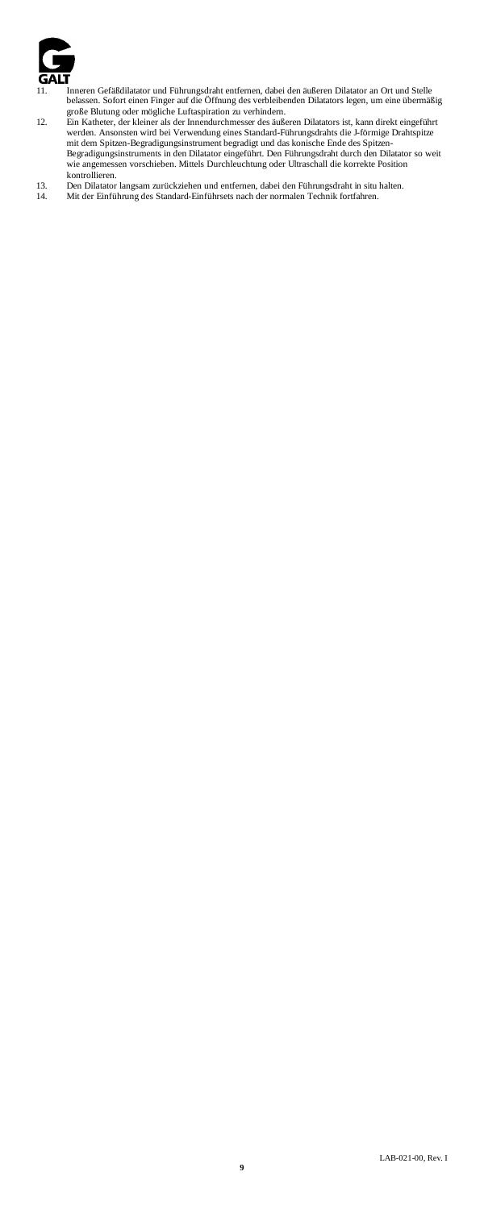

- 
- 11. Innern Gräßdilatator und Führungsdraht entfernen, dabei den äußeren Dilatator an Ort und Stelle<br>belassen. Sofort einen Finger auf die Öffnung des verbleibenden Dilatators legen, um eine übermäßig<br>große Blutung oder mög
- kontrollieren.<br>13. Den Dilatator langsam zurückziehen und entfernen, dabei den Führungsdraht in situ halten.<br>14. Mit der Einführung des Standard-Einführsets nach der normalen Technik fortfahren.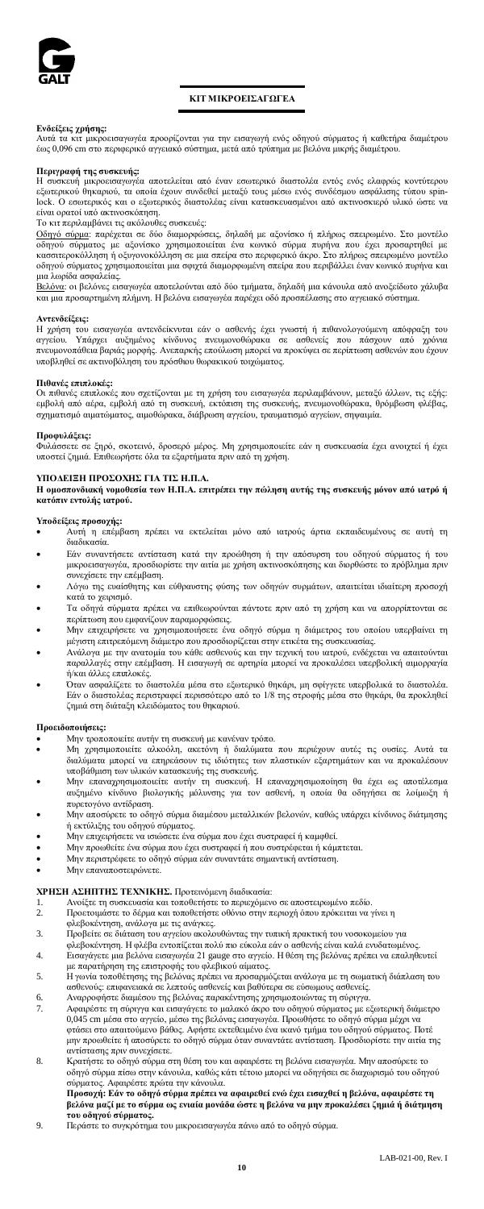

# **ΚΙΤ ΜΙΚΡΟΕΙΣΑΓΩΓΕΑ**

**Ενδείξεις χρήσης:** Αυτά τα κιτ μικροεισαγωγέα προορίζονται για την εισαγωγή ενός οδηγού σύρματος ή καθετήρα διαμέτρου έως 0,096 cm στο περιφερικό αγγειακό σύστημα, μετά από τρύπημα με βελόνα μικρής διαμέτρου.

**Περιγραφή της συσκευής:** Η συσκευή μικροεισαγωγέα αποτελείται από έναν εσωτερικό διαστολέα εντός ενός ελαφρώς κοντύτερου εξωτερικού θηκαριού, τα οποία έχουν συνδεθεί μεταξύ τους μέσω ενός συνδέσμου ασφάλισης τύπου spin-lock. Ο εσωτερικός και ο εξωτερικός διαστολέας είναι κατασκευασμένοι από ακτινοσκιερό υλικό ώστε να είναι ορατοί υπό ακτινοσκόπηση.

Το κι<del>ι</del> περιλαμβάνει τις ακόλουθες συσκευές:<br><u>Οδηγό σύρμα:</u> παρέχεται σε δύο διαμορφώσεις, δηλαδή με αξονίσκο ή πλήρως σπειρωμένο. Στο μοντέλο οδηγού σύρματος με αξονίσκο χρησιμοποιείται ένα κωνικό σύρμα πυρήνα που έχει προσαρτηθεί με κασσιτεροκόλληση ή οξυγονοκόλληση σε μια σπείρα στο περιφερικό άκρο. Στο πλήρως σπειρωμένο μοντέλο οδηγού σύρματος χρησιμοποιείται μια σφιχτά διαμορφωμένη σπείρα που περιβάλλει έναν κωνικό πυρήνα και<br>μια λωρίδα ασφαλείας.<br><u>Βελόνα</u>: οι βελόνες εισαγωγέα αποτελούνται από δύο τμήματα, δηλαδή μια κάνουλα από ανοξείδωτο χάλ

και μια προσαρτημένη πλήμνη. Η βελόνα εισαγωγέα παρέχει οδό προσπέλασης στο αγγειακό σύστημα.

#### **Αντενδείξεις:**

Η χρήση του εισαγωγέα αντενδείκνυται εάν ο ασθενής έχει γνωστή ή πιθανολογούμενη απόφραξη του<br>αγγείου. Υπάρχει αυξημένος κίνδυνος πνευμονοθώρακα σε ασθενείς που πάσχουν από χρουν<br>πνευμονοπάθεια βαριάς μορφής. Ανεπαρκής επ υποβληθεί σε ακτινοβόληση του πρόσθιου θωρακικού τοιχώματος.

# **Πιθανές επιπλοκές:**

Οι πιθανές επιπλοκές που σχετίζονται με τη χρήση του εισαγωγέα περιλαμβάνουν, μεταξύ άλλων, τις εξής:<br>εμβολή από αέρα, εμβολή από τη συσκευή, εκτόπιση της συσκευής, πνευμονοθώρακα, θρόμβωση φλέβας,<br>σχηματισμό αιματώματος,

#### **Προφυλάξεις:**

Φυλάσσετε σε ξηρό, σκοτεινό, δροσερό μέρος. Μη χρησιμοποιείτε εάν η συσκευασία έχει ανοιχτεί ή έχει υποστεί ζημιά. Επιθεωρήστε όλα τα εξαρτήματα πριν από τη χρήση.

# **ΥΠΟΔΕΙΞΗ ΠΡΟΣΟΧΗΣ ΓΙΑ ΤΙΣ Η.Π.Α.**

**Η ομοσπονδιακή νομοθεσία των Η.Π.Α. επιτρέπει την πώληση αυτής της συσκευής μόνον από ιατρό ή κατόπιν εντολής ιατρού.**

# **Υποδείξεις προσοχής:**

- Αυτή η επέμβαση πρέπει να εκτελείται μόνο από ιατρούς άρτια εκπαιδευμένους σε αυτή τη διαδικασία.
- Εάν συναντήσετε αντίσταση κατά την προώθηση ή την απόσυρση του οδηγού σύρματος ή του μικροεισαγωγέα, προσδιορίστε την αιτία με χρήση ακτινοσκόπησης και διορθώστε το πρόβλημα πριν συνεχίσετε την επέμβαση.
- Λόγω της ευαίσθητης και εύθραυστης φύσης των οδηγών συρμάτων, απαιτείται ιδιαίτερη προσοχή κατά το χειρισμό.
- Τα οδηγά σύρματα πρέπει να επιθεωρούνται πάντοτε πριν από τη χρήση και να απορρίπτονται σε περίπτωση που εμφανίζουν παραμορφώσεις.
- Μην επιχειρήσετε να χρησιμοποιήσετε ένα οδηγό σύρμα η διάμετρος του οποίου υπερβαίνει τη μέγιστη επιτρεπόμενη διάμετρο που προσδιορίζεται στην ετικέτα της συσκευασίας.
- Ανάλογα με την ανατομία του κάθε ασθενούς και την τεχνική του ιατρού, ενδέχεται να απαιτούνται παραλλαγές στην επέμβαση. Η εισαγωγή σε αρτηρία μπορεί να προκαλέσει υπερβολική αιμορραγία ή/και άλλες επιπλοκές.
- Όταν ασφαλίζετε το διαστολέα μέσα στο εξωτερικό θηκάρι, μη σφίγγετε υπερβολικά το διαστολέα. Εάν ο διαστολέας περιστραφεί περισσότερο από το 1/8 της στροφής μέσα στο θηκάρι, θα προκληθεί ζημιά στη διάταξη κλειδώματος του θηκαριού.

# **Προειδοποιήσεις:**

- Μην τροποποιείτε αυτήν τη συσκευή με κανέναν τρόπο.
- Μη χρησιμοποιείτε αλκοόλη, ακετόνη ή διαλύματα που περιέχουν αυτές τις ουσίες. Αυτά τα διαλύματα μπορεί να επηρεάσουν τις ιδιότητες των πλαστικών εξαρτημάτων και να προκαλέσουν
- υποβάθμιση των υλικών κατασκευής της συσκευής. Μην επαναχρησιμοποιείτε αυτήν τη συσκευή. Η επαναχρησιμοποίηση θα έχει ως αποτέλεσμα αυξημένο κίνδυνο βιολογικής μόλυνσης για τον ασθενή, η οποία θα οδηγήσει σε λοίμωξη ή
- πυρετογόνο αντίδραση. Μην αποσύρετε το οδηγό σύρμα διαμέσου μεταλλικών βελονών, καθώς υπάρχει κίνδυνος διάτμησης ή εκτύλιξης του οδηγού σύρματος.
- Μην επιχειρήσετε να ισιώσετε ένα σύρμα που έχει συστραφεί ή καμφθεί.
- Μην προωθείτε ένα σύρμα που έχει συστραφεί ή που συστρέφεται ή κάμπτεται. Μην περιστρέφετε το οδηγό σύρμα εάν συναντάτε σημαντική αντίσταση.
- 
- Μην επαναποστειρώνετε.

# **ΧΡΗΣΗ ΑΣΗΠΤΗΣ ΤΕΧΝΙΚΗΣ.** Προτεινόμενη διαδικασία:<br>1. Ανοίξτε τη συσκευασία και τοποθετήστε το περιεχόμεν<br>2. Πορετοιμάστε το δέρμα και τοποθετήστε οθόνιο στην π

- 1. Ανοίξτε τη συσκευασία και τοποθετήστε το περιεχόμενο σε αποστειρωμένο πεδίο.
- 2. Προετοιμάστε το δέρμα και τοποθετήστε οθόνιο στην περιοχή όπου πρόκειται να γίνει η φλεβοκέντηση, ανάλογα με τις ανάγκες.
- 3. Προβείτε σε διάταση του αγγείου ακολουθώντας την τυπική πρακτική του νοσοκομείου για
- φλεβοκέντηση. Η φλέβα εντοπίζεται πολύ πιο εύκολα εάν ο ασθενής είναι καλά ενυδατωμένος. 4. Εισαγάγετε μια βελόνα εισαγωγέα 21 gauge στο αγγείο. Η θέση της βελόνας πρέπει να επαληθευτεί
- 
- με παρατήρηση της επιστροφής του φλεβικού αίματος.<br>5. Η γονία τοποθέτησης της βελόνιας πρέπει να προσαρμόζεται ανάλογα με τη σωματική διάπλαση του<br>ασθενούς: επιφανειακά σε λεπτούς ασθενείς και βαθύτερα σε εύσωμους ασθενεί
- 
- 0,045 cm μέσα στο αγγείο, μέσω της βελόνας εισαγωγέα. Προωθήστε το οδηγό σύρμα μέχρι να<br>φτάσει στο απαιτούμενο βάθος. Αφήστε εκτεθειμένο ένα ικανό τμήμα του οδηγού σύρματος. Ποτέ<br>μην προωθείτε ή αποσύρετε το οδηγό σύρμα ό αντίστασης πριν συνεχίσετε.
- 8. Κρατήστε το οδηγό σύρμα στη θέση του και αφαιρέστε τη βελόνα εισαγωγέα. Μην αποσύρετε το οδηγό σύρμα πίσω στην κάνουλα, καθώς κάτι τέτοιο μπορεί να οδηγήσει σε διαχωρισμό του οδηγού σύρματος. Αφαιρέστε πρώτα την κάνουλα. **Προσοχή: Εάν το οδηγό σύρμα πρέπει να αφαιρεθεί ενώ έχει εισαχθεί η βελόνα, αφαιρέστε τη**

**βελόνα μαζί με το σύρμα ως ενιαία μονάδα ώστε η βελόνα να μην προκαλέσει ζημιά ή διάτμηση** 

**του οδηγού σύρματος.** 9. Περάστε το συγκρότημα του μικροεισαγωγέα πάνω από το οδηγό σύρμα.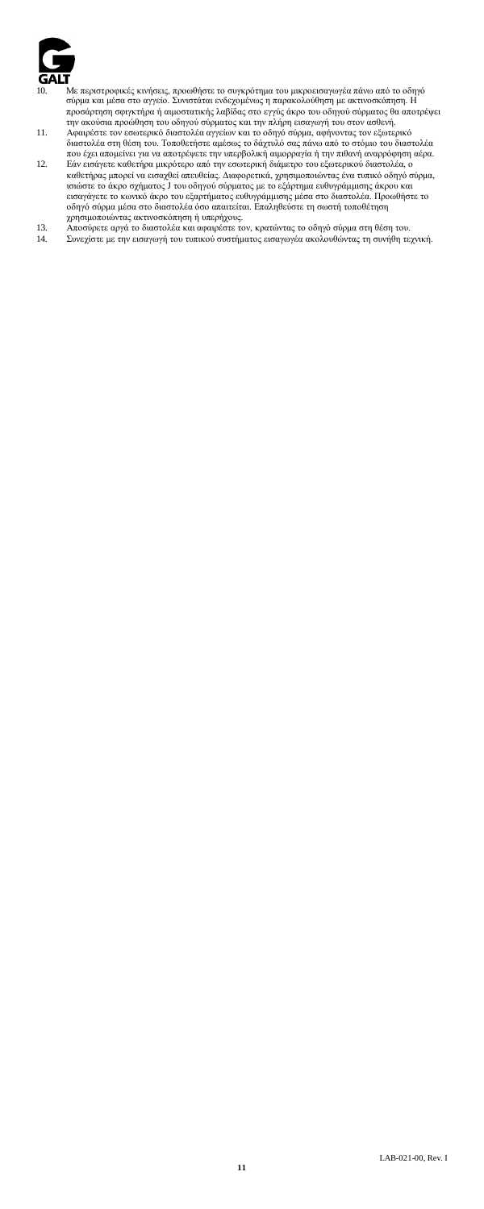

- 10. Με περιστροφικές κινήσεις, προωθήστε το σκηκρότημα του μικροεισαγωγέα πάνω από το οδηγό και μέσα στο αγγείο. Συνιστάται ενδεχομένως η παρακολούθηση με ακτινοσκόπηση. Η<br>προσάρτηση σφιγκτήρα ή αιμοστατικής λαβίδας στο ε
- 
- καθετήρας μπορεί να εισαχθεί απευθείας. Διαφορετικά, χρησιμοποιώντας ένα τυπικό οδηγό σύρμα,<br>ισιώστε το άκρο σχήματος J του οδηγού σύρματος με το εξάρτημα ευθυγράμμισης άκρου και<br>εισαγάγετε το κοινικό άκρο του εξαρτήματος χρησιμοποιώντας ακτινοσκόπηση ή υπερήχους.
- 13. Αποσύρετε αργά το διαστολέα και αφαιρέστε τον, κρατώντας το οδηγό σύρμα στη θέση του. 14. Συνεχίστε με την εισαγωγή του τυπικού συστήματος εισαγωγέα ακολουθώντας τη συνήθη τεχνική.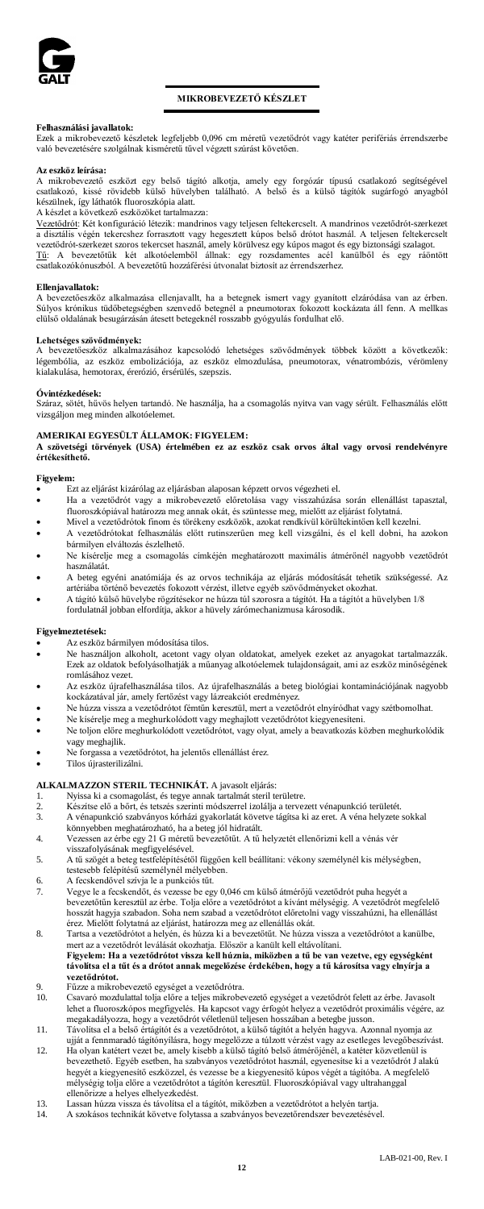

# **MIKROBEVEZETŐ KÉSZLET**

# **Felhasználási javallatok:**

Ezek a mikrobevezető készletek legfeljebb 0,096 cm méretű vezetődrót vagy katéter perifériás érrendszerbe való bevezetésére szolgálnak kisméretű tűvel végzett szúrást követően.

# **Az eszköz leírása:**

A mikrobevezető eszközt egy belső tágító alkotja, amely egy forgózár típusú csatlakozó segítségével csatlakozó, kissé rövidebb külső hüvelyben található. A belső és a külső tágítók sugárfogó anyagból készülnek, így láthatók fluoroszkópia alatt.

A készlet a következő eszközöket tartalmazza:

<u>Vezetődrót</u>: Két konfiguráció létezik: mandrinos vagy teljesen feltekercselt. A mandrinos vezetődrót-szerkezet<br>a disztális végén tekercshez forrasztott vagy hegesztett kúpos belső drótot használ. A teljesen feltekercselt

vezetődrót-szerkezet szoros tekercset használ, amely körülvesz egy kúpos magot és egy biztonsági szalagot.<br><u>Tű</u> - A - bevezetőtük - két - alkotóelemből - állnak: - gey - rozsdamentes - acél - kanülből - és - egy - ráöntött

### **Ellenjavallatok:**

A bevezetőeszköz alkalmazása ellenjavallt, ha a betegnek ismert vagy gyanított elzáródása van az érben.<br>Súlyos krónikus tidőböetegségben szenvedő betegnél a pneumotorax fokozott kockázata áll fenn. A mellkas<br>elülső oldalán

**Lehetséges szövődmények:** A bevezetőeszköz alkalmazásához kapcsolódó lehetséges szövődmények többek között a következők: légembólia, az eszköz embolizációja, az eszköz elmozdulása, pneumotorax, vénatrombózis, vérömleny kialakulása, hemotorax, érerózió, érsérülés, szepszis.

# **Óvintézkedések:**

Száraz, sötét, hűvös helyen tartandó. Ne használja, ha a csomagolás nyitva van vagy sérült. Felhasználás előtt vizsgáljon meg minden alkotóelemet.

# **AMERIKAI EGYESÜLT ÁLLAMOK: FIGYELEM:**

**A szövetségi törvények (USA) értelmében ez az eszköz csak orvos által vagy orvosi rendelvényre értékesíthető.**

# **Figyelem:**

- 
- Ezt az eljárást kizárólag az eljárásban alaposan képzett orvos végezheti el. Ha a vezetődrót vagy a mikrobevezető előretolása vagy visszahúzása során ellenállást tapasztal, fluoroszkópiával határozza meg annak okát, és szüntesse meg, mielőtt az eljárást folytatná.
- Mivel a vezetődrótok finom és törékeny eszközök, azokat rendkívül körültekintően kell kezelni. • A vezetődrótokat felhasználás előtt rutinszerűen meg kell vizsgálni, és el kell dobni, ha azokon
- bármilyen elváltozás észlelhető. • Ne kísérelje meg a csomagolás címkéjén meghatározott maximális átmérőnél nagyobb vezetődrót
- használatát.
- A beteg egyéni anatómiája és az orvos technikája az eljárás módosítását tehetik szükségessé. Az artériába történő bevezetés fokozott vérzést, illetve egyéb szövődményeket okozhat. • A tágító külső hüvelybe rögzítésekor ne húzza túl szorosra a tágítót. Ha a tágítót a hüvelyben 1/8
- fordulatnál jobban elfordítja, akkor a hüvely zárómechanizmusa károsodik.

# **Figyelmeztetések:**

- Az eszköz bármilyen módosítása tilos.
- Ne használjon alkoholt, acetont vagy olyan oldatokat, amelyek ezeket az anyagokat tartalmazzák. Ezek az oldatok befolyásolhatják a műanyag alkotóelemek tulajdonságait, ami az eszköz minőségének romlásához vezet.
- Az eszköz újrafelhasználása tilos. Az újrafelhasználás a beteg biológiai kontaminációjának nagyobb kockázatával jár, amely fertőzést vagy lázreakciót eredményez.
- Ne húzza vissza a vezetődrótot fémtűn keresztül, mert a vezetődrót elnyíródhat vagy szétbomolhat. • Ne kísérelje meg a meghurkolódott vagy meghajlott vezetődrótot kiegyenesíteni.<br>• Ne tolion előre meghurkolódott vezetődrótot, vagy olyat, amely a heavatkozás ki
- Ne toljon előre meghurkolódott vezetődrótot, vagy olyat, amely a beavatkozás közben meghurkolódik vagy meghajlik.
- Ne forgassa a vezetődrótot, ha jelentős ellenállást érez.
- Tilos újrasterilizálni.
- **ALKALMAZZON STERIL TECHNIKÁT.** A javasolt eljárás:
- 
- 1. Nyissa ki a csomagolást, és tegye annak tartalmát steril területre.<br>2. Készítse elő a bőrt, és tetszés szerinti módszerrel izolália a tervez
- 2. Készítse elő a bőrt, és tetszés szerinti módszerrel izolálja a tervezett vénapunkció területét.<br>3. A vénapunkció szabványos kórházi gyakorlatát követve tágúsa ki az eret. A véna helyzete. 3. A vénapunkció szabványos kórházi gyakorlatát követve tágítsa ki az eret. A véna helyzete sokkal könnyebben meghatározható, ha a beteg jól hidratált.
- 4. Vezessen az érbe egy 21 G méretű bevezetőtűt. A tű helyzetét ellenőrizni kell a vénás vér
- visszafolyásának megfigyelésével. 5. A tű szögét a beteg testfelépítésétől függően kell beállítani: vékony személynél kis mélységben, testesebb felépítésű személynél mélyebben.
- 6. A fecskendővel szívja le a punkciós tűt.
- 7. Vegye le a fecskendőt, és vezesse be egy 0,046 cm külső átmérőjű vezetődrót puha hegyét a bevezetőtűn keresztül az érbe. Tolja előre a vezetődrótot a kívánt mélységig. A vezetődrót megfelelő hosszát hagyja szabadon. Soha nem szabad a vezetődrótot előretolni vagy visszahúzni, ha ellenállást érez. Mielőtt folytatná az eljárást, határozza meg az ellenállás okát.
- 8. Tartsa a vezetődrótot a helyén, és húzza ki a bevezetőtűt. Ne húzza vissza a vezetődrótot a kanülbe, mert az a vezetődrót leválását okozhatja. Először a kanült kell eltávolítani. **Figyelem: Ha a vezetődrótot vissza kell húznia, miközben a tű be van vezetve, egy egységként távolítsa el a tűt és a drótot annak megelőzése érdekében, hogy a tű károsítsa vagy elnyírja a vezetődrótot.**
- 9. Fűzze a mikrobevezető egységet a vezetődrótra.
- 10. Csavaró mozdulattal tolja előre a teljes mikrobevezető egységet a vezetődrót felett az érbe. Javasolt lehet a fluoroszkópos megfigyelés. Ha kapcsot vagy érfogót helyez a vezetődrót proximális végére, az megakadályozza, hogy a vezetődrót véletlenül teljesen hosszában a betegbe jusson.
- 11. Távolítsa el a belső értágítót és a vezetődrótot, a külső tágítót a helyén hagyva. Azonnal nyomja az
- uiját a fennmaradó tágítónyílásra, hogy megelőzze a túlzott vérzést vagy az esetleges levegőbeszívást.<br>12. Ha olyan katétert vezet be, amely kisebb a külső tágító belső átmérőjénél, a katéter közvetlenül is<br>bevezethető. hegyét a kiegyenesítő eszközzel, és vezesse be a kiegyenesítő kúpos végét a tágítóba. A megfelelő mélységig tolja előre a vezetődrótot a tágítón keresztül. Fluoroszkópiával vagy ultrahanggal ellenőrizze a helyes elhelyezkedést.
- 13. Lassan húzza vissza és távolítsa el a tágítót, miközben a vezetődrótot a helyén tartja.
- A szokásos technikát követve folytassa a szabványos bevezetőrendszer bevezetésével.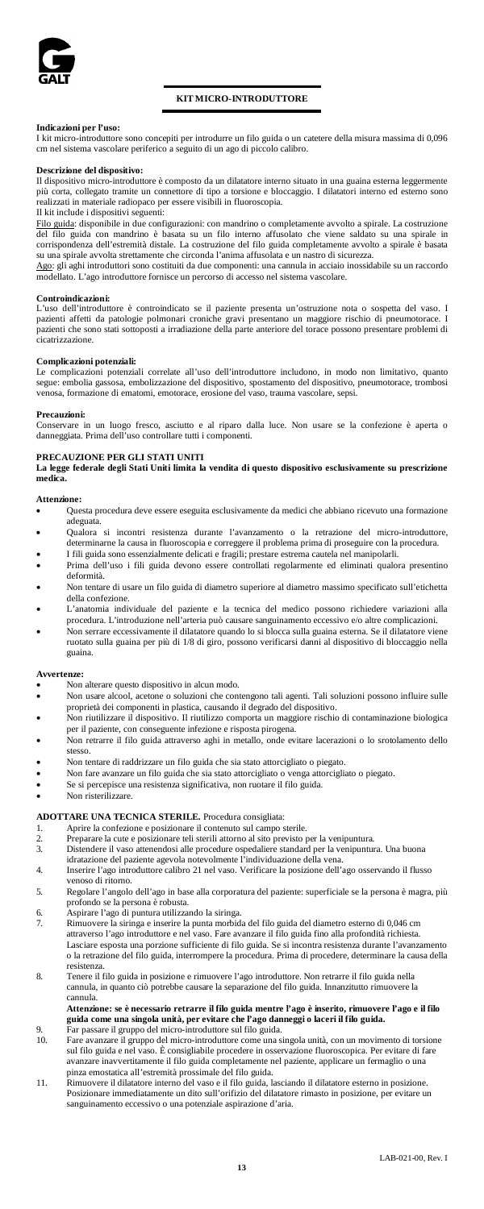

# **KIT MICRO-INTRODUTTORE**

# **Indicazioni per l'uso:**

I kit micro-introduttore sono concepiti per introdurre un filo guida o un catetere della misura massima di 0,096 cm nel sistema vascolare periferico a seguito di un ago di piccolo calibro.

# **Descrizione del dispositivo:**

Il dispositivo micro-introduttore è composto da un dilatatore interno situato in una guaina esterna leggermente più corta, collegato tramite un connettore di tipo a torsione e bloccaggio. I dilatatori interno ed esterno sono realizzati in materiale radiopaco per essere visibili in fluoroscopia.

# Il kit include i dispositivi seguenti:

Filo guida: disponibile in due configurazioni: con mandrino o completamente avvolto a spirale. La costruzione del filo guida con mandrino è basata su un filo interno affusolato che viene saldato su una spirale in corrispondenza dell'estremità distale. La costruzione del filo guida completamente avvolto a spirale è basata su una spirale avvolta strettamente che circonda l'anima affusolata e un nastro di sicurezza.

Ago: gli aghi introduttori sono costituiti da due componenti: una cannula in acciaio inossidabile su un raccordo modellato. L'ago introduttore fornisce un percorso di accesso nel sistema vascolare.

# **Controindicazioni:**

L'uso dell'introduttore è controindicato se il paziente presenta un'ostruzione nota o sospetta del vaso. I pazienti affetti da patologie polmonari croniche gravi presentano un maggiore rischio di pneumotorace. I pazienti che sono stati sottoposti a irradiazione della parte anteriore del torace possono presentare problemi di cicatrizzazione.

### **Complicazioni potenziali:**

Le complicazioni potenziali correlate all'uso dell'introduttore includono, in modo non limitativo, quanto segue: embolia gassosa, embolizzazione del dispositivo, spostamento del dispositivo, pneumotorace, trombosi venosa, formazione di ematomi, emotorace, erosione del vaso, trauma vascolare, sepsi.

**Precauzioni:** Conservare in un luogo fresco, asciutto e al riparo dalla luce. Non usare se la confezione è aperta o danneggiata. Prima dell'uso controllare tutti i componenti.

**PRECAUZIONE PER GLI STATI UNITI La legge federale degli Stati Uniti limita la vendita di questo dispositivo esclusivamente su prescrizione medica.**

# Attenzio

- Questa procedura deve essere eseguita esclusivamente da medici che abbiano ricevuto una formazione adeguata.
- Qualora si incontri resistenza durante l'avanzamento o la retrazione del micro-introduttore, determinarne la causa in fluoroscopia e correggere il problema prima di proseguire con la procedura.
- I fili guida sono essenzialmente delicati e fragili; prestare estrema cautela nel manipolarli. Prima dell'uso i fili guida devono essere controllati regolarmente ed eliminati qualora presentino deformità.
- Non tentare di usare un filo guida di diametro superiore al diametro massimo specificato sull'etichetta della confezione.
- L'anatomia individuale del paziente e la tecnica del medico possono richiedere variazioni alla procedura. L'introduzione nell'arteria può causare sanguinamento eccessivo e/o altre complicazioni.
- Non serrare eccessivamente il dilatatore quando lo si blocca sulla guaina esterna. Se il dilatatore viene ruotato sulla guaina per più di 1/8 di giro, possono verificarsi danni al dispositivo di bloccaggio nella guaina.

#### **Avvertenze:**

- Non alterare questo dispositivo in alcun modo.<br>Non usere algool, acetera e colugioni alte com-
- Non usare alcool, acetone o soluzioni che contengono tali agenti. Tali soluzioni possono influire sulle proprietà dei componenti in plastica, causando il degrado del dispositivo.
- Non riutilizzare il dispositivo. Il riutilizzo comporta un maggiore rischio di contaminazione biologica per il paziente, con conseguente infezione e risposta pirogena.
- Non retrarre il filo guida attraverso aghi in metallo, onde evitare lacerazioni o lo srotolamento dello stesso.
- Non tentare di raddrizzare un filo guida che sia stato attorcigliato o piegato.
- Non fare avanzare un filo guida che sia stato attorcigliato o venga attorcigliato o piegato.
- Se si percepisce una resistenza significativa, non ruotare il filo guida.
- Non risterilizzare.

# **ADOTTARE UNA TECNICA STERILE.** Procedura consigliata:

- 
- 1. Aprire la confezione e posizionare il contenuto sul campo sterile. 2. Preparare la cute e posizionare teli sterili attorno al sito previsto per la venipuntura.<br>2. Preparare la cute e posizionare teli sterili attorno al sito previsto per la venipuntura.<br>3. Distendere il vaso attenendosi al
- 3. Distendere il vaso attenendosi alle procedure ospedaliere standard per la venipuntura. Una buona idratazione del paziente agevola notevolmente l'individuazione della vena.
- 
- 4. Inserire l'ago introduttore calibro 21 nel vaso. Verificare la posizione dell'ago osservando il flusso venoso di ritorno.
- 5. Regolare l'angolo dell'ago in base alla corporatura del paziente: superficiale se la persona è magra, più a persona è robusta.
- 6. Aspirare l'ago di puntura utilizzando la siringa.
- 7. Rimuovere la siringa e inserire la punta morbida del filo guida del diametro esterno di 0,046 cm attraverso l'ago introduttore e nel vaso. Fare avanzare il filo guida fino alla profondità richiesta. Lasciare esposta una porzione sufficiente di filo guida. Se si incontra resistenza durante l'avanzamento o la retrazione del filo guida, interrompere la procedura. Prima di procedere, determinare la causa della resistenza.
- 8. Tenere il filo guida in posizione e rimuovere l'ago introduttore. Non retrarre il filo guida nella cannula, in quanto ciò potrebbe causare la separazione del filo guida. Innanzitutto rimuo cannula.

# Attenzione: se è necessario retrarre il filo guida mentre l'ago è inserito, rimuovere l'ago e il filo<br>guida come una singola unità, per evitare che l'ago danneggi o laceri il filo guida.<br>9.

- 10. Fare avanzare il gruppo del micro-introduttore come una singola unità, con un movimento di torsione sul filo guida e nel vaso. È consigliabile procedere in osservazione fluoroscopica. Per evitare di fare avanzare inavvertitamente il filo guida completamente nel paziente, applicare un fermaglio o una pinza emostatica all'estremità prossimale del filo guida.
- 11. Rimuovere il dilatatore interno del vaso e il filo guida, lasciando il dilatatore esterno in posizione. Posizionare immediatamente un dito sull'orifizio del dilatatore rimasto in posizione, per evitare un sanguinamento eccessivo o una potenziale aspirazione d'aria.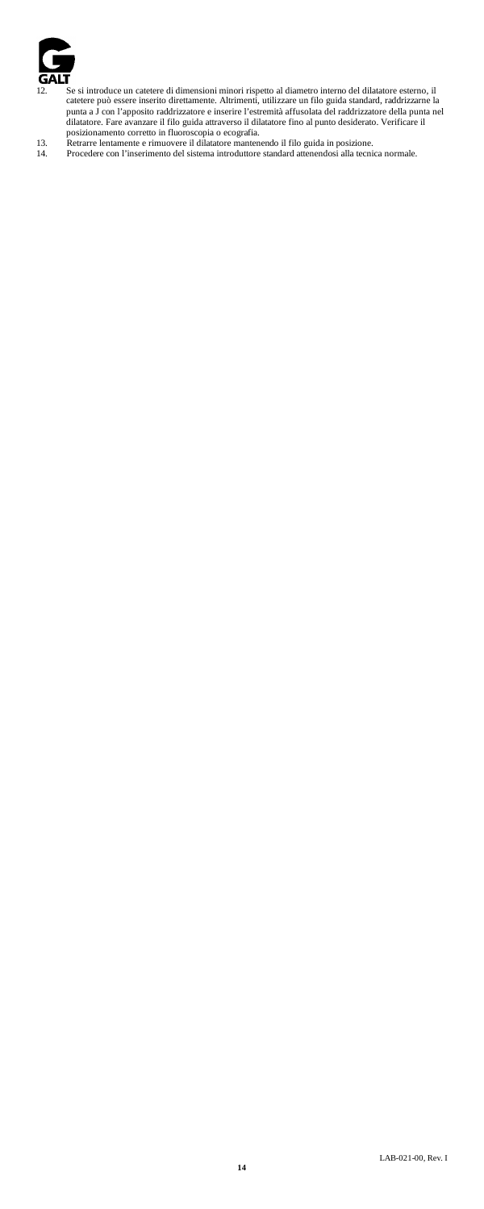

- 12. Se si introduce un catetere di dimensioni minori rispetto al diametro interno del dilatatore esterno, il catetere può essere inserito direttamente. Altrimenti, utilizzare un filo guida standard, raddrizzarne la punta a J con l'apposito raddrizzatore e inserire l'estremità affusolata del raddrizzatore della punta nel dilatator
- 
-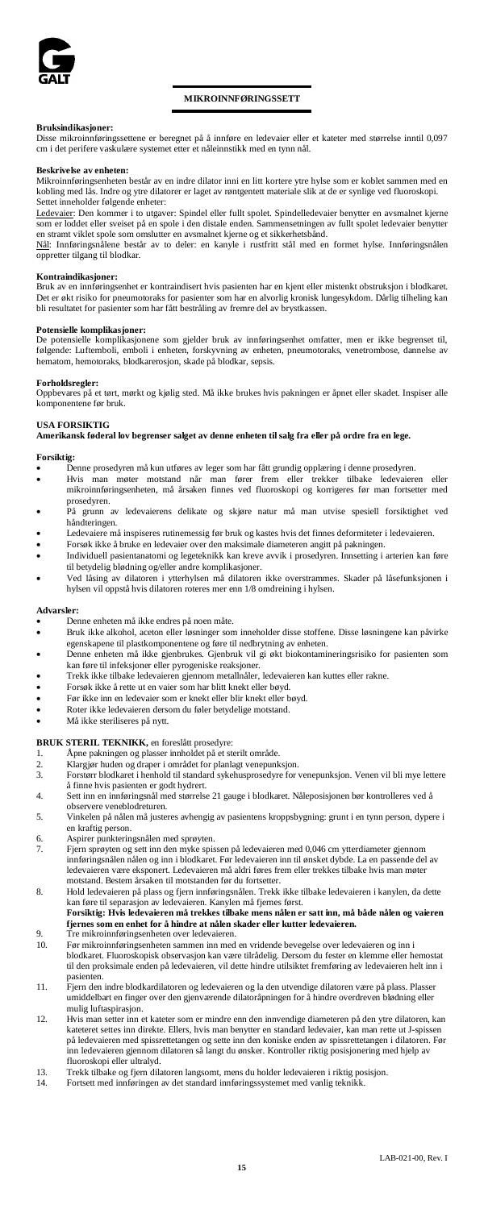

# **MIKROINNFØRINGSSETT**

# **Bruksindikasjoner:**

Disse mikroinnføringssettene er beregnet på å innføre en ledevaier eller et kateter med størrelse inntil 0,097 cm i det perifere vaskulære systemet etter et nåleinnstikk med en tynn nål.

### **Beskrivelse av enheten:**

Mikroinnføringsenheten består av en indre dilator inni en litt kortere ytre hylse som er koblet sammen med en kobling med lås. Indre og ytre dilatorer er laget av røntgentett materiale slik at de er synlige ved fluoroskopi. Settet inneholder følgende enheter:

Ledevaier: Den kommer i to utgaver: Spindel eller fullt spolet. Spindelledevaier benytter en avsmalnet kjerne som er loddet eller sveiset på en spole i den distale enden. Sammensetningen av fullt spolet ledevaier benytter en stramt viklet spole som omslutter en avsmalnet kjerne og et sikkerhetsbånd.

Nål: Innføringsnålene består av to deler: en kanyle i rustfritt stål med en formet hylse. Innføringsnålen oppretter tilgang til blodkar.

**Kontraindikasjoner:** Bruk av en innføringsenhet er kontraindisert hvis pasienten har en kjent eller mistenkt obstruksjon i blodkaret. Det er økt risiko for pneumotoraks for pasienter som har en alvorlig kronisk lungesykdom. Dårlig tilheling kan bli resultatet for pasienter som har fått bestråling av fremre del av brystkassen.

# **Potensielle komplikasjoner:**

De potensielle komplikasjonene som gjelder bruk av innføringsenhet omfatter, men er ikke begrenset til, følgende: Luftemboli, emboli i enheten, forskyvning av enheten, pneumotoraks, venetrombose, dannelse av hematom, hemotoraks, blodkarerosjon, skade på blodkar, sepsis.

# **Forholdsregler:**

Oppbevares på et tørt, mørkt og kjølig sted. Må ikke brukes hvis pakningen er åpnet eller skadet. Inspiser alle komponentene før bruk.

# **USA FORSIKTIG**

**Amerikansk føderal lov begrenser salget av denne enheten til salg fra eller på ordre fra en lege.**

**Forsiktig:** • Denne prosedyren må kun utføres av leger som har fått grundig opplæring i denne prosedyren.

- Hvis man møter motstand når man fører frem eller trekker tilbake ledevaieren eller mikroinnføringsenheten, må årsaken finnes ved fluoroskopi og korrigeres før man fortsetter med prosedyren.
- På grunn av ledevaierens delikate og skjøre natur må man utvise spesiell forsiktighet ved håndteringen.
- Ledevaiere må inspiseres rutinemessig før bruk og kastes hvis det finnes deformiteter i ledevaieren.
- Forsøk ikke å bruke en ledevaier over den maksimale diameteren angitt på pakningen. • Individuell pasientanatomi og legeteknikk kan kreve avvik i prosedyren. Innsetting i arterien kan føre
- til betydelig blødning og/eller andre komplikasjoner. • Ved låsing av dilatoren i ytterhylsen må dilatoren ikke overstrammes. Skader på låsefunksjonen i hylsen vil oppstå hvis dilatoren roteres mer enn 1/8 omdreining i hylsen.

### **Advarsler:**

- Denne enheten må ikke endres på noen måte.
- Bruk ikke alkohol, aceton eller løsninger som inneholder disse stoffene. Disse løsningene kan påvirke egenskapene til plastkomponentene og føre til nedbrytning av enheten.
- Denne enheten må ikke gjenbrukes. Gjenbruk vil gi økt biokontamineringsrisiko for pasienten som kan føre til infeksjoner eller pyrogeniske reaksjoner.
- Trekk ikke tilbake ledevaieren gjennom metallnåler, ledevaieren kan kuttes eller rakne.<br>• Forsøk ikke å rette ut en vaier som har blitt knekt eller bøyd
- Forsøk ikke å rette ut en vaier som har blitt knekt eller bøyd.<br>• Før ikke inn en ledevaier som er knekt eller blir knekt eller b
- Før ikke inn en ledevaier som er knekt eller blir knekt eller bøyd.
- Roter ikke ledevaieren dersom du føler betydelige motstand.
- Må ikke steriliseres på nytt.

- **BRUK STERIL TEKNIKK,** en foreslått prosedyre: 1. Åpne pakningen og plasser innholdet på et sterilt område.
- 2. Klargjør huden og draper i området for planlagt venepunksjon. 3. Forstørr blodkaret i henhold til standard sykehusprosedyre for venepunksjon. Venen vil bli mye lettere
- å finne hvis pasienten er godt hydrert.
- 4. Sett inn en innføringsnål med størrelse 21 gauge i blodkaret. Nåleposisjonen bør kontrolleres ved å observere veneblodreturen.
- 5. Vinkelen på nålen må justeres avhengig av pasientens kroppsbygning: grunt i en tynn person, dypere i en kraftig person.
- 6. Aspirer punkteringsnålen med sprøyten.
- 7. Fjern sprøyten og sett inn den myke spissen på ledevaieren med 0,046 cm ytterdiameter gjennom innføringsnålen nålen og inn i blodkaret. Før ledevaieren inn til ønsket dybde. La en passende del av ledevaieren være eksponert. Ledevaieren må aldri føres frem eller trekkes tilbake hvis man møter motstand. Bestem årsaken til motstanden før du fortsetter.
- 8. Hold ledevaieren på plass og fjern innføringsnålen. Trekk ikke tilbake ledevaieren i kanylen, da dette kan føre til separasjon av ledevaieren. Kanylen må fjernes først. **Forsiktig: Hvis ledevaieren må trekkes tilbake mens nålen er satt inn, må både nålen og vaieren**
- **fjernes som en enhet for å hindre at nålen skader eller kutter ledevaieren.** 9. Tre mikroinnføringsenheten over ledevaieren.
- 10. Før mikroinnføringsenheten sammen inn med en vridende bevegelse over ledevaieren og inn i blodkaret. Fluoroskopisk observasjon kan være tilrådelig. Dersom du fester en klemme eller hemostat til den proksimale enden på ledevaieren, vil dette hindre utilsiktet fremføring av ledevaieren helt inn i
- pasienten. 11. Fjern den indre blodkardilatoren og ledevaieren og la den utvendige dilatoren være på plass. Plasser umiddelbart en finger over den gjenværende dilatoråpningen for å hindre overdreven blødning eller mulig luftaspirasjon.
- 12. Hvis man setter inn et kateter som er mindre enn den innvendige diameteren på den ytre dilatoren, kan et kan kateteret settes inn direkte. Ellers, hvis man benytter en standard ledevaier, kan man rette ut J-spissen på ledevaieren med spissrettetangen og sette inn den koniske enden av spissrettetangen i dilatoren. Før om dilatoren så langt du ønsker. Kontroller riktig posisjonering med hjelp av inn ledevaieren gjennom ofluoroskopi eller ultralyd.
- 13. Trekk tilbake og fjern dilatoren langsomt, mens du holder ledevaieren i riktig posisjon. 14. Fortsett med innføringen av det standard innføringssystemet med vanlig teknikk.
-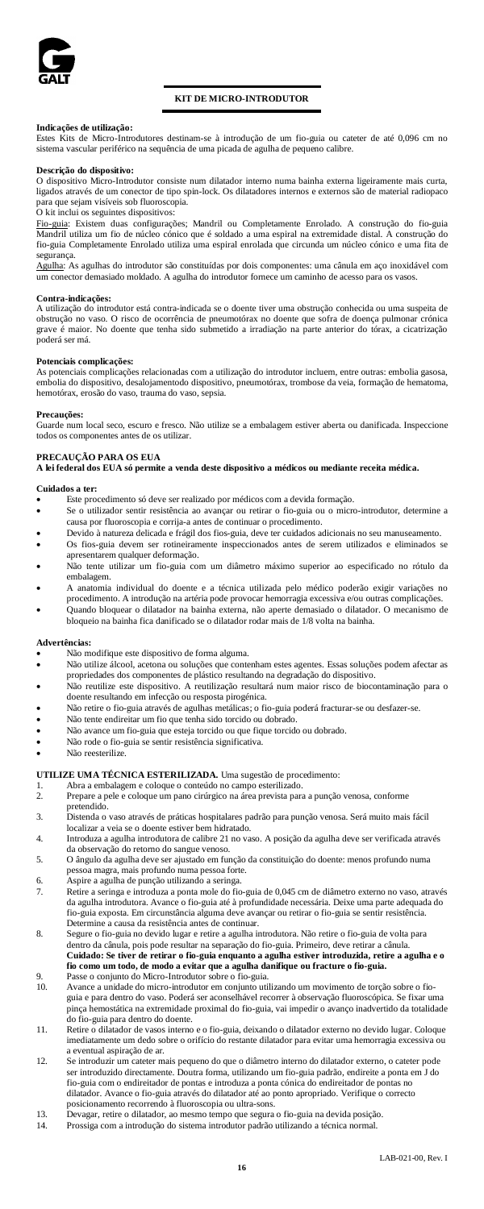

# **KIT DE MICRO-INTRODUTOR**

**Indicações de utilização:** Estes Kits de Micro-Introdutores destinam-se à introdução de um fio-guia ou cateter de até 0,096 cm no sistema vascular periférico na sequência de uma picada de agulha de pequeno calibre.

### **Descrição do dispositivo:**

O dispositivo Micro-Introdutor consiste num dilatador interno numa bainha externa ligeiramente mais curta, ligados através de um conector de tipo spin-lock. Os dilatadores internos e externos são de material radiopaco para que sejam visíveis sob fluoroscopia.

O kit inclui os seguintes dispositivos:

<u>Fio-guia</u>: Existem duas configurações; Mandril ou Completamente Enrolado. A construção do fio-guia<br>Mandril utiliza um fio de núcleo cónico que é soldado a uma espiral na extremidade distal. A construção do fio-guia Completamente Enrolado utiliza uma espiral enrolada que circunda um núcleo cónico e uma fita de segurança.

Agulha: As agulhas do introdutor são constituídas por dois componentes: uma cânula em aço inoxidável com um conector demasiado moldado. A agulha do introdutor fornece um caminho de acesso para os vasos.

# **Contra-indicações:**

A utilização do introdutor está contra-indicada se o doente tiver uma obstrução conhecida ou uma suspeita de obstrução no vaso. O risco de ocorrência de pneumotórax no doente que sofra de doença pulmonar crónica grave é maior. No doente que tenha sido submetido a irradiação na parte anterior do tórax, a cicatrização poderá ser má.

### **Potenciais complicações:**

As potenciais complicações relacionadas com a utilização do introdutor incluem, entre outras: embolia gasosa, embolia do dispositivo, desalojamentodo dispositivo, pneumotórax, trombose da veia, formação de hematoma, <sub>,</sub><br>uma do vaso, sepsia.

**Precauções:** Guarde num local seco, escuro e fresco. Não utilize se a embalagem estiver aberta ou danificada. Inspeccione todos os componentes antes de os utilizar.

**PRECAUÇÃO PARA OS EUA A lei federal dos EUA só permite a venda deste dispositivo a médicos ou mediante receita médica.**

### **Cuidados a ter:**

- Este procedimento só deve ser realizado por médicos com a devida formação.<br>• Se o utilizador sentir resistência ao avancar ou retirar o fio-quia ou o micro
- Se o utilizador sentir resistência ao avançar ou retirar o fio-guia ou o micro-introdutor, determine a causa por fluoroscopia e corrija-a antes de continuar o procedimento.
- Devido à natureza delicada e frágil dos fios-guia, deve ter cuidados adicionais no seu manuseamento. • Os fios-guia devem ser rotineiramente inspeccionados antes de serem utilizados e eliminados se
- .<br>rem qualquer deformação. • Não tente utilizar um fio-guia com um diâmetro máximo superior ao especificado no rótulo da
- embalagem. • A anatomia individual do doente e a técnica utilizada pelo médico poderão exigir variações no
- procedimento. A introdução na artéria pode provocar hemorragia excessiva e/ou outras complicações. • Quando bloquear o dilatador na bainha externa, não aperte demasiado o dilatador. O mecanismo de bloqueio na bainha fica danificado se o dilatador rodar mais de 1/8 volta na bainha.

#### **Advertências:**

- Não modifique este dispositivo de forma alguma.
- Não utilize álcool, acetona ou soluções que contenham estes agentes. Essas soluções podem afectar as propriedades dos componentes de plástico resultando na degradação do dispositivo.
- Não reutilize este dispositivo. A reutilização resultará num maior risco de biocontaminação para o doente resultando em infecção ou resposta pirogénica.
- Não retire o fio-guia através de agulhas metálicas; o fio-guia poderá fracturar-se ou desfazer-se.
- Não tente endireitar um fio que tenha sido torcido ou dobrado.
- Não avance um fio-guia que esteja torcido ou que fique torcido ou dobrado.
- Não rode o fio-guia se sentir resistência significativa.

## Não reesterilize

**UTILIZE UMA TÉCNICA ESTERILIZADA.** Uma sugestão de procedimento:

- 1. Abra a embalagem e coloque o conteúdo no campo esterilizado.<br>2. Prepare a pele e coloque um pano cirúrgico na área prevista para
- 2. Prepare a pele e coloque um pano cirúrgico na área prevista para a punção venosa, conforme pretendido.
- 3. Distenda o vaso através de práticas hospitalares padrão para punção venosa. Será muito mais fácil localizar a veia se o doente estiver bem hidratado.
- 4. Introduza a agulha introdutora de calibre 21 no vaso. A posição da agulha deve ser verificada através
- da observação do retorno do sangue venoso. 5. O ângulo da agulha deve ser ajustado em função da constituição do doente: menos profundo numa pessoa magra, mais profundo numa pessoa forte.
- 6. Aspire a agulha de punção utilizando a seringa.
- 7. Retire a seringa e introduza a ponta mole do fio-guia de 0,045 cm de diâmetro externo no vaso, através da agulha introdutora. Avance o fio-guia até à profundidade necessária. Deixe uma parte adequada<br>fio-quia exposta. Em circunstância alguma deve avancar ou retirar o fio-quia se sentir resistência fio-guia exposta. Em circunstância alguma deve avançar ou retirar o fio-guia se sentir resistên Determine a causa da resistência antes de continuar.
- 8. Segure o fio-guia no devido lugar e retire a agulha introdutora. Não retire o fio-guia de volta para dentro da cânula, pois pode resultar na separação do fio-guia. Primeiro, deve retirar a cânula. **Cuidado: Se tiver de retirar o fio-guia enquanto a agulha estiver introduzida, retire a agulha e o fio como um todo, de modo a evitar que a agulha danifique ou fracture o fio-guia.** 9. Passe o conjunto do Micro-Introdutor sobre o fio-guia.
- 10. Avance a unidade do micro-introdutor em conjunto utilizando um movimento de torção sobre o fioguia e para dentro do vaso. Poderá ser aconselhável recorrer à observação fluoroscópica. Se fixar uma pinça hemostática na extremidade proximal do fio-guia, vai impedir o avanço inadvertido da totalidade
- do fio-guia para dentro do doente. 11. Retire o dilatador de vasos interno e o fio-guia, deixando o dilatador externo no devido lugar. Coloque imediatamente um dedo sobre o orifício do restante dilatador para evitar uma hemorragia excessiva ou
- a eventual aspiração de ar. 12. Se introduzir um cateter mais pequeno do que o diâmetro interno do dilatador externo, o cateter pode ser introduzido directamente. Doutra forma, utilizando um fio-guia padrão, endireite a ponta em J do fio-guia com o endireitador de pontas e introduza a ponta cónica do endireitador de pontas no dilatador. Avance o fio-guia através do dilatador até ao ponto apropriado. Verifique o correcto posicionamento recorrendo à fluoroscopia ou ultra-sons.
- 13. Devagar, retire o dilatador, ao mesmo tempo que segura o fio-guia na devida posição. 14. Prossiga com a introdução do sistema introdutor padrão utilizando a técnica normal.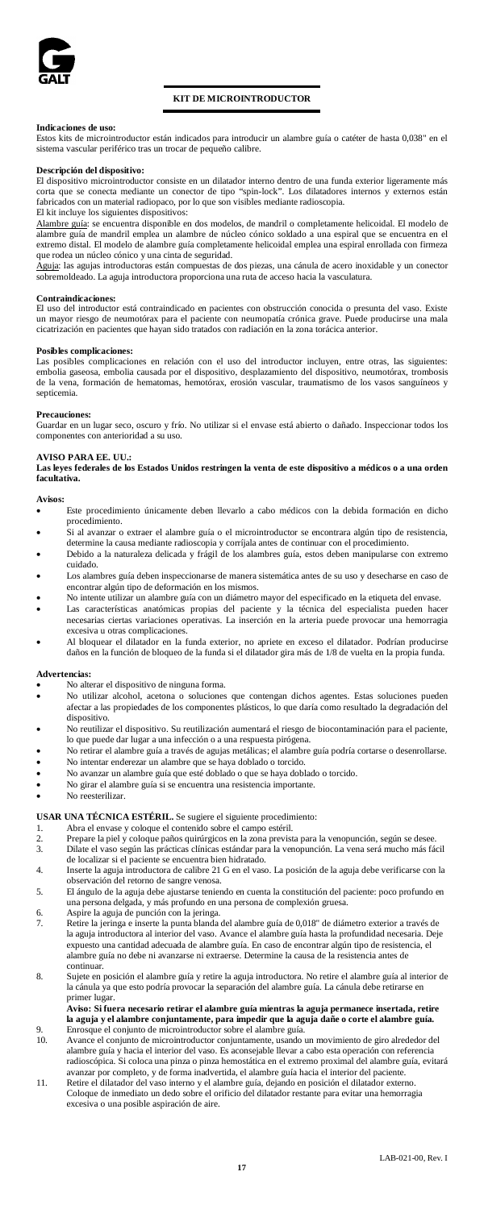

# **KIT DE MICROINTRODUCTOR**

**Indicaciones de uso:** Estos kits de microintroductor están indicados para introducir un alambre guía o catéter de hasta 0,038" en el sistema vascular periférico tras un trocar de pequeño calibre.

### **Descripción del dispositivo:**

El dispositivo microintroductor consiste en un dilatador interno dentro de una funda exterior ligeramente más corta que se conecta mediante un conector de tipo "spin-lock". Los dilatadores internos y externos están fabricados con un material radiopaco, por lo que son visibles mediante radioscopia.

# El kit incluye los siguientes dispositivos:

Alambre guía: se encuentra disponible en dos modelos, de mandril o completamente helicoidal. El modelo de<br>alambre guía de mandril emplea un alambre de núcleo cónico soldado a una espiral que se encuentra en el extremo distal. El modelo de alambre guía completamente helicoidal emplea una espiral enrollada con firmeza que rodea un núcleo cónico y una cinta de seguridad.

Aguja: las agujas introductoras están compuestas de dos piezas, una cánula de acero inoxidable y un conector sobremoldeado. La aguja introductora proporciona una ruta de acceso hacia la vasculatura.

# **Contraindicaciones:**

El uso del introductor está contraindicado en pacientes con obstrucción conocida o presunta del vaso. Existe un mayor riesgo de neumotórax para el paciente con neumopatía crónica grave. Puede producirse una mala cicatrización en pacientes que hayan sido tratados con radiación en la zona torácica anteri

# **Posibles complicaciones:**

Las posibles complicaciones en relación con el uso del introductor incluyen, entre otras, las siguientes: embolia gaseosa, embolia causada por el dispositivo, desplazamiento del dispositivo, neumotórax, trombosis de la vena, formación de hematomas, hemotórax, erosión vascular, traumatismo de los vasos sanguíneos y septicemia.

# **Precauciones:**

Guardar en un lugar seco, oscuro y frío. No utilizar si el envase está abierto o dañado. Inspeccionar todos los componentes con anterioridad a su uso.

**AVISO PARA EE. UU.: Las leyes federales de los Estados Unidos restringen la venta de este dispositivo a médicos o a una orden facultativa.**

#### **Avisos:**

- Este procedimiento únicamente deben llevarlo a cabo médicos con la debida formación en dicho procedimiento. • Si al avanzar o extraer el alambre guía o el microintroductor se encontrara algún tipo de resistencia,
- determine la causa mediante radioscopia y corríjala antes de continuar con el procedimiento.
- Debido a la naturaleza delicada y frágil de los alambres guía, estos deben manipularse con extremo cuidado. Los alambres guía deben inspeccionarse de manera sistemática antes de su uso y desecharse en caso de
- encontrar algún tipo de deformación en los mismos. No intente utilizar un alambre guía con un diámetro mayor del especificado en la etiqueta del envase.
- Las características anatómicas propias del paciente y la técnica del especialista pueden hacer necesarias ciertas variaciones operativas. La inserción en la arteria puede provocar una hemorragia excesiva u otras complicaciones.
- Al bloquear el dilatador en la funda exterior, no apriete en exceso el dilatador. Podrían producirse daños en la función de bloqueo de la funda si el dilatador gira más de 1/8 de vuelta en la propia funda.

#### **Advertencias:**

- No alterar el dispositivo de ninguna forma.<br>No utilizar alcohol, acetona o soluciones
- soluciones que contengan dichos agentes. Estas soluciones pueden afectar a las propiedades de los componentes plásticos, lo que daría como resultado la degradación del dispositivo.
- No reutilizar el dispositivo. Su reutilización aumentará el riesgo de biocontaminación para el paciente, lo que puede dar lugar a una infección o a una respuesta pirógena.
- No retirar el alambre guía a través de agujas metálicas; el alambre guía podría cortarse o desenrollarse. • No intentar enderezar un alambre que se haya doblado o torcido.
- 
- No avanzar un alambre guía que esté doblado o que se haya doblado o torcido.
- No girar el alambre guía si se encuentra una resistencia importante.<br>• No reesterilizar

# • No reesterilizar.

# **USAR UNA TÉCNICA ESTÉRIL.** Se sugiere el siguiente procedimiento:

- 
- 1. Abra el envase y coloque el contenido sobre el campo estéril. 2. Prepare la piel y coloque paños quirúrgicos en la zona prevista para la venopunción, según se desee. 3. Dilate el vaso según las prácticas clínicas estándar para la venopunción. La vena será mucho más fácil de localizar si el paciente se encuentra bien hidratado.
- 4. Inserte la aguja introductora de calibre 21 G en el vaso. La posición de la aguja debe verificarse con la
- observación del retorno de sangre venosa. 5. El ángulo de la aguja debe ajustarse teniendo en cuenta la constitución del paciente: poco profundo en da, y más profundo en una persona de complexión grue
- 
- 6. Aspire la aguja de punción con la jeringa. 7. Retire la jeringa e inserte la punta blanda del alambre guía de 0,018" de diámetro exterior a través de la aguja introductora al interior del vaso. Avance el alambre guía hasta la profundidad necesaria. Deje expuesto una cantidad adecuada de alambre guía. En caso de encontrar algún tipo de resistencia, el alambre guía no debe ni avanzarse ni extraerse. Determine la causa de la resistencia antes de continuar.
- 8. Sujete en posición el alambre guía y retire la aguja introductora. No retire el alambre guía al interior de la cánula ya que esto podría provocar la separación del alambre guía. La cánula debe retirarse en primer lugar.

# **Aviso: Si fuera necesario retirar el alambre guía mientras la aguja permanece insertada, retire la aguja y el alambre conjuntamente, para impedir que la aguja dañe o corte el alambre guía.** 9. Enrosque el conjunto de microintroductor sobre el alambre guía.<br>10. Avance el conjunto de microintroductor conjuntamente, usando i

- Avance el conjunto de microintroductor conjuntamente, usando un movimiento de giro alrededor del alambre guía y hacia el interior del vaso. Es aconsejable llevar a cabo esta operación con referencia radioscópica. Si coloca una pinza o pinza hemostática en el extremo proximal del alambre guía, evitará avanzar por completo, y de forma inadvertida, el alambre guía hacia el interior del paciente.
- 11. Retire el dilatador del vaso interno y el alambre guía, dejando en posición el dilatador externo. Coloque de inmediato un dedo sobre el orificio del dilatador restante para evitar una hemorragia excesiva o una posible aspiración de aire.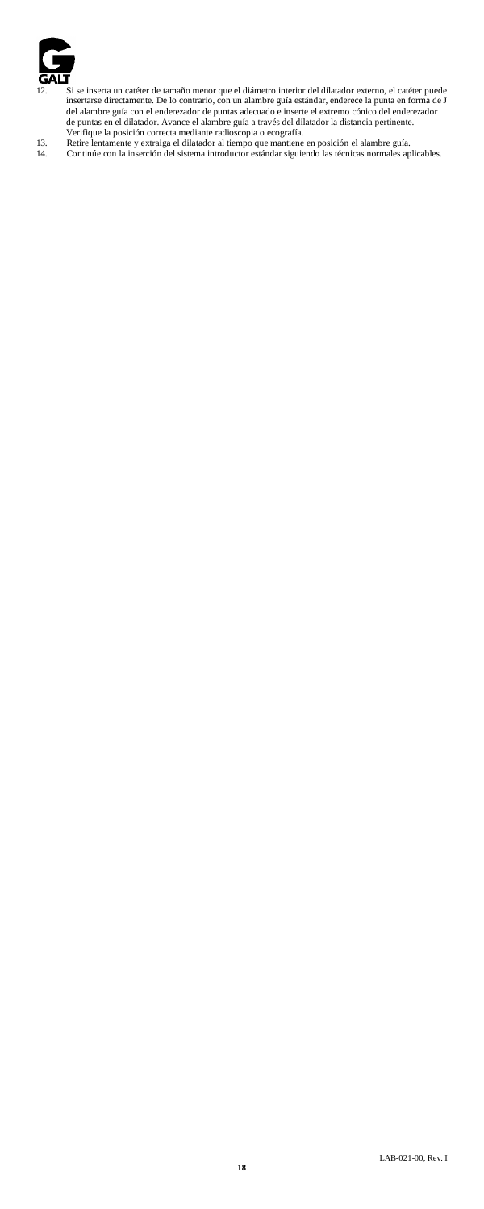

- 12. Si se inserta un catéter de tamaño menor que el diámetro interior del dilatador externo, el catéter puede insertarse directamente. De lo contrario, con un alambre guía estándar, enderece la punta en forma de J<br>del alambre guía con el enderezador de puntas adecuado e inserte el extremo cónico del enderezador<br>de puntas en el dil
- 
-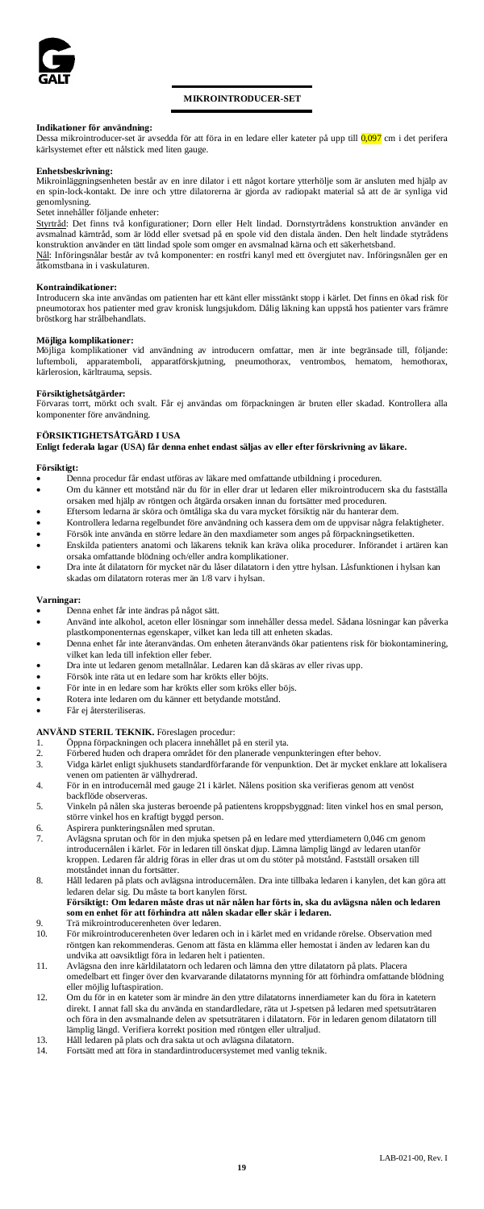

# **MIKROINTRODUCER-SET**

# **Indikationer för användning:**

namationer för anvandning.<br>Dessa mikrointroducer-set är avsedda för att föra in en ledare eller kateter på upp till 0,097 cm i det perifera kärlsystemet efter ett nålstick med liten gauge.

### **Enhetsbeskrivning:**

Mikroinläggningsenheten består av en inre dilator i ett något kortare ytterhölje som är ansluten med hjälp av en spin-lock-kontakt. De inre och yttre dilatorerna är gjorda av radiopakt material så att de är synliga vid genomlysning.

# Setet innehåller följande enheter:

<u>Styrtråd</u>: Det finns två konfigurationer; Dorn eller Helt lindad. Dornstyrtrådens konstruktion använder en<br>avsmalnad kärntråd, som är lödd eller svetsad på en spole vid den distala änden. Den helt lindade stytrådens konstruktion använder en tätt lindad spole som omger en avsmalnad kärna och ett säkerhetsband.

Nål: Införingsnålar består av två komponenter: en rostfri kanyl med ett övergjutet nav. Införingsnålen ger en åtkomstbana in i vaskulaturen.

### **Kontraindikationer:**

Introducern ska inte användas om patienten har ett känt eller misstänkt stopp i kärlet. Det finns en ökad risk för pneumotorax hos patienter med grav kronisk lungsjukdom. Dålig läkning kan uppstå hos patienter vars främre bröstkorg har strålbehandlats.

#### **Möjliga komplikationer:**

nsop<sub>ris</sub>a komplikationer vid användning av introducern omfattar, men är inte begränsade till, följande:<br>luftemboli, apparatemboli, apparatförskjutning, pneumothorax, ventrombos, hematom, hemothorax, luftemboli, apparatemboli, apparatförskjutning, pneumothorax, ventrombos, hematom, hemothorax, kärlerosion, kärltrauma, sepsis.

**Försiktighetsåtgärder:** Förvaras torrt, mörkt och svalt. Får ej användas om förpackningen är bruten eller skadad. Kontrollera alla komponenter före användning.

# **FÖRSIKTIGHETSÅTGÄRD I USA**

**Enligt federala lagar (USA) får denna enhet endast säljas av eller efter förskrivning av läkare.**

# **Försiktigt:**

- Denna procedur får endast utföras av läkare med omfattande utbildning i proceduren.<br>• Om du känner ett motstånd när du för in eller drar ut ledaren eller mikrointroducen
- Om du känner ett motstånd när du för in eller drar ut ledaren eller mikrointroducern ska du fastställa orsaken med hjälp av röntgen och åtgärda orsaken innan du fortsätter med proceduren.
- Eftersom ledarna är sköra och ömtåliga ska du vara mycket försiktig när du hanterar dem. • Kontrollera ledarna regelbundet före användning och kassera dem om de uppvisar några felaktigheter.
- Försök inte använda en större ledare än den maxdiameter som anges på förpackningsetiketten. • Enskilda patienters anatomi och läkarens teknik kan kräva olika procedurer. Införandet i artären kan
- orsaka omfattande blödning och/eller andra komplikationer.
- Dra inte åt dilatatorn för mycket när du låser dilatatorn i den yttre hylsan. Låsfunktionen i hylsan kan skadas om dilatatorn roteras mer än 1/8 varv i hylsan.

# **Varningar:**

- Denna enhet får inte ändras på något sätt.
- Använd inte alkohol, aceton eller lösningar som innehåller dessa medel. Sådana lösningar kan påverka plastkomponenternas egenskaper, vilket kan leda till att enheten skadas.
- Denna enhet får inte återanvändas. Om enheten återanvänds ökar patientens risk för biokontaminering, vilket kan leda till infektion eller feber.
- Dra inte ut ledaren genom metallnålar. Ledaren kan då skäras av eller rivas upp.
- Försök inte räta ut en ledare som har krökts eller böjts.
- För inte in en ledare som har krökts eller som kröks eller böjs.
- Rotera inte ledaren om du känner ett betydande motstånd.
- Får ej återsteriliseras.

# **ANVÄND STERIL TEKNIK.** Föreslagen procedur:

- 
- 1. Öppna förpackningen och placera innehållet på en steril yta. 2. Förbered huden och drapera området för den planerade venpunkteringen efter behov.
- 3. Vidga kärlet enligt sjukhusets standardförfarande för venpunktion. Det är mycket enklare att lokalisera venen om patienten är välhydrerad.
- 4. För in en introducernål med gauge 21 i kärlet. Nålens position ska verifieras genom att venöst backflöde observeras.
- 5. Vinkeln på nålen ska justeras beroende på patientens kroppsbyggnad: liten vinkel hos en smal person, större vinkel hos en kraftigt byggd person.
- 6. Aspirera punkteringsnålen med sprutan.
- 7. Avlägsna sprutan och för in den mjuka spetsen på en ledare med ytterdiametern 0,046 cm genom introducernålen i kärlet. För in ledaren till önskat djup. Lämna lämplig längd av ledaren utanför kroppen. Ledaren får aldrig föras in eller dras ut om du stöter på motstånd. Fastställ orsaken till motståndet innan du fortsätter.
- 8. Håll ledaren på plats och avlägsna introducernålen. Dra inte tillbaka ledaren i kanylen, det kan göra att ledaren delar sig. Du måste ta bort kanylen först.<br>**Försiktigt: Om ledaren måste dras ut när nålen har förts in, ska du avlägsna nålen och ledaren**
- **som en enhet för att förhindra att nålen skadar eller skär i ledaren.**
- 9. Trä mikrointroducerenheten över ledaren.<br>10. För mikrointroducerenheten över ledaren. 10. För mikrointroducerenheten över ledaren och in i kärlet med en vridande rörelse. Observation med röntgen kan rekommenderas. Genom att fästa en klämma eller hemostat i änden av ledaren kan du undvika att oavsiktligt föra in ledaren helt i patienten.
- 11. Avlägsna den inre kärldilatatorn och ledaren och lämna den yttre dilatatorn på plats. Placera omedelbart ett finger över den kvarvarande dilatatorns mynning för att förhindra omfattande blödning eller möjlig luftaspiration.
- 12. Om du för in en kateter som är mindre än den yttre dilatatorns innerdiameter kan du föra in katetern direkt. I annat fall ska du använda en standardledare, räta ut J-spetsen på ledaren med spetsuträtaren och föra in den avsmalnande delen av spetsuträtaren i dilatatorn. För in ledaren genom dilatatorn till lämplig längd. Verifiera korrekt position med röntgen eller ultraljud.
- 13. Håll ledaren på plats och dra sakta ut och avlägsna dilatatorn.<br>14. Fortsätt med att föra in standardintroducersystemet med vanl
- Fortsätt med att föra in standardintroducersystemet med vanlig teknik.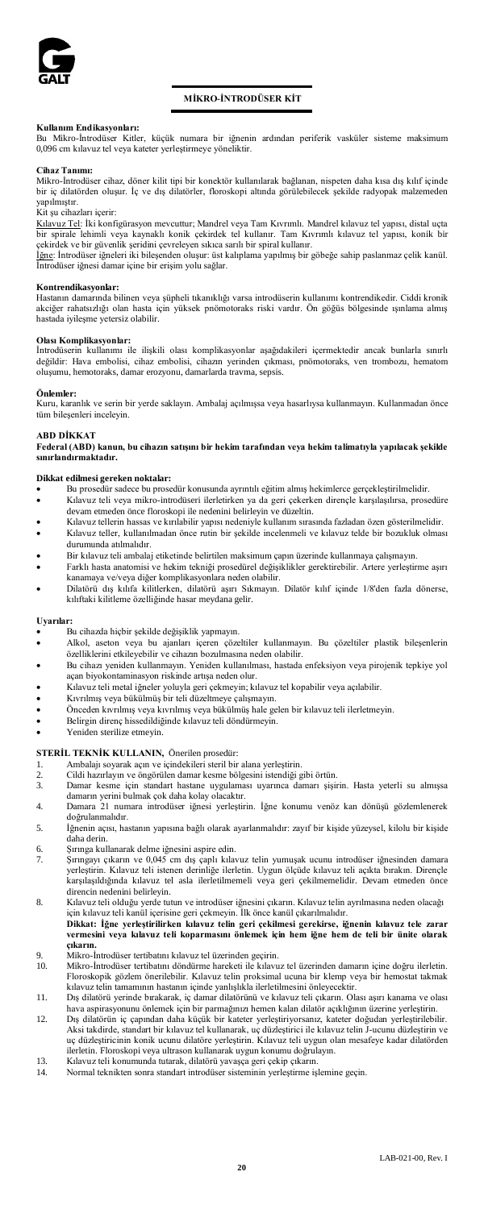

# **MİKRO-İNTRODÜSER KİT**

**Kullanım Endikasyonları:** Bu Mikro-İntrodüser Kitler, küçük numara bir iğnenin ardından periferik vasküler sisteme maksimum 0,096 cm kılavuz tel veya kateter yerleştirmeye yöneliktir.

### **Cihaz Tanımı:**

Mikro-İntrodüser cihaz, döner kilit tipi bir konektör kullanılarak bağlanan, nispeten daha kısa dış kılıf içinde bir iç dilatörden oluşur. İç ve dış dilatörler, floroskopi altında görülebilecek şekilde radyopak malzemeden yapılmıştır.

# Kit şu cihazları içerir:

<u>Kılavuz Tel</u>: İki konfigürasyon mevcuttur; Mandrel veya Tam Kıvrımlı. Mandrel kılavuz tel yapısı, distal uçta<br>bir spirale lehimli veya kaynaklı konik çekirdek tel kullanır. Tam Kıvrımlı kılavuz tel yapısı, konik bir çekirdek ve bir güvenlik şeridini çevreleyen sıkıca sarılı bir spiral kullanır.<br>İ<u>ğn</u>e: İntrodüser iğneleri iki bileşenden oluşur: üst kalıplama yapılmış bir göbeğe sahip paslanmaz çelik kanül.

İntrodüser iğnesi damar içine bir erişim yolu sağlar.

### **Kontrendikasyonlar:**

Hastanın damarında bilinen veya şüpheli tıkanıklığı varsa introdüserin kullanımı kontrendikedir. Ciddi kronik akciğer rahatsızlığı olan hasta için yüksek pnömotoraks riski vardır. Ön göğüs bölgesinde ışınlama almış hastada iyileşme yetersiz olabilir.

**Olası Komplikasyonlar:** İntrodüserin kullanımı ile ilişkili olası komplikasyonlar aşağıdakileri içermektedir ancak bunlarla sınırlı değildir: Hava embolisi, cihaz embolisi, cihazın yerinden çıkması, pnömotoraks, ven trombozu, hematom oluşumu, hemotoraks, damar erozyonu, damarlarda travma, sepsis.

**Önlemler:**<br>Kuru, karanlık ve serin bir yerde saklayın. Ambalaj açılmışsa veya hasarlıysa kullanmayın. Kullanmadan önce<br>tüm bileşenleri inceleyin.

### **ABD DİKKAT**

**Federal (ABD) kanun, bu cihazın satışını bir hekim tarafından veya hekim talimatıyla yapılacak şekilde sınırlandırmaktadır.** 

# **Dikkat edilmesi gereken noktalar:**

- Bu prosedür sadece bu prosedür konusunda ayrıntılı eğitim almış hekimlerce gerçekleştirilmelidir. • Kılavuz teli veya mikro-introdüseri ilerletirken ya da geri çekerken dirençle karşılaşılırsa, prosedüre
- devam etmeden önce floroskopi ile nedenini belirleyin ve düzeltin.
- Kılavuz tellerin hassas ve kırılabilir yapısı nedeniyle kullanım sırasında fazladan özen gösterilmelidir. • Kılavuz teller, kullanılmadan önce rutin bir şekilde incelenmeli ve kılavuz telde bir bozukluk olması durumunda atılmalıdır.
- Bir kılavuz teli ambalaj etiketinde belirtilen maksimum çapın üzerinde kullanmaya çalışmayın.
- Farklı hasta anatomisi ve hekim tekniği prosedürel değişiklikler gerektirebilir. Artere yerleştirme aşırı kanamaya ve/veya diğer komplikasyonlara neden olabilir.
- Dilatörü dış kılıfa kilitlerken, dilatörü aşırı Sıkmayın. Dilatör kılıf içinde 1/8'den fazla dönerse, kılıftaki kilitleme özelliğinde hasar meydana gelir.

### **Uyarılar:**

- Bu cihazda hiçbir şekilde değişiklik yapmayın.
- Alkol, aseton veya bu ajanları içeren çözeltiler kullanmayın. Bu çözeltiler plastik bileşenlerin özelliklerini etkileyebilir ve cihazın bozulmasına neden olabilir.
- Bu cihazı yeniden kullanmayın. Yeniden kullanılması, hastada enfeksiyon veya pirojenik tepkiye yol açan biyokontaminasyon riskinde artışa neden olur.
- Kılavuz teli metal iğneler yoluyla geri çekmeyin; kılavuz tel kopabilir veya açılabilir.
- Kıvrılmış veya bükülmüş bir teli düzeltmeye çalışmayın.
- Önceden kıvrılmış veya kıvrılmış veya bükülmüş hale gelen bir kılavuz teli ilerletmeyin. • Belirgin direnç hissedildiğinde kılavuz teli döndürmeyin.
- Yeniden sterilize etmevin

# **STERİL TEKNİK KULLANIN,** Önerilen prosedür:

- 1. Ambalajı soyarak açın ve içindekileri steril bir alana yerleştirin.
- 2. Cildi hazırlayın ve öngörülen damar kesme bölgesini istendiği gibi örtün.
- Damar kesme için standart hastane uygulaması uyarınca damarı şişirin. Hasta yeterli su almışsa damarın yerini bulmak çok daha kolay olacaktır. 4. Damara 21 numara introdüser iğnesi yerleştirin. İğne konumu venöz kan dönüşü gözlemlenerek
- doğrulanmalıdır.
- 5. İğnenin açısı, hastanın yapısına bağlı olarak ayarlanmalıdır: zayıf bir kişide yüzeysel, kilolu bir kişide .<br>aha deri
- 
- 6. Şırınga kullanarak delme iğnesini aspire edin. 7. Şırıngayı çıkarın ve 0,045 cm dış çaplı kılavuz telin yumuşak ucunu introdüser iğnesinden damara yerleştirin. Kılavuz teli istenen derinliğe ilerletin. Uygun ölçüde kılavuz teli açıkta bırakın. Dirençle<br>karşılaşıldığında kılavuz tel asla ilerletilmemeli veya geri çekilmemelidir. Devam etmeden önce direncin nedenini belirleyin.
- 8. Kılavuz teli olduğu yerde tutun ve introdüser iğnesini çıkarın. Kılavuz telin ayrılmasına neden ol için kılavuz teli kanül içerisine geri çekmeyin. İlk önce kanül çıkarılmalıdır. **Dikkat: İğne yerleştirilirken kılavuz telin geri çekilmesi gerekirse, iğnenin kılavuz tele zarar vermesini veya kılavuz teli koparmasını önlemek için hem iğne hem de teli bir ünite olarak**
- **çıkarın.** 9. Mikro-İntrodüser tertibatını kılavuz tel üzerinden geçirin.
- 10. Mikro-İntrodüser tertibatını döndürme hareketi ile kılavuz tel üzerinden damarın içine doğru ilerletin. Floroskopik gözlem önerilebilir. Kılavuz telin proksimal ucuna bir klemp veya bir hemostat takmak kılavuz telin tamamının hastanın içinde yanlışlıkla ilerletilmesini önleyecektir.
- 11. Dış dilatörü yerinde bırakarak, iç damar dilatörünü ve kılavuz teli çıkarın. Olası aşırı kanama ve olası hava aspirasyonunu önlemek için bir parmağınızı hemen kalan dilatör açıklığının üzerine yerleştirin.
- 12. Dış dilatörün iç çapından daha küçük bir kateter yerleştiriyorsanız, kateter doğudan yerleştirilebilir. Aksi takdirde, standart bir kılavuz tel kullanarak, uç düzleştirici ile kılavuz telin J-ucunu düzleştirin ve uç düzleştiricinin konik ucunu dilatöre yerleştirin. Kılavuz teli uygun olan mesafeye kadar dilatörden
- ilerletin. Floroskopi veya ultrason kullanarak uygun konumu doğrulayın. 13. Kılavuz teli konumunda tutarak, dilatörü yavaşça geri çekip çıkarın. 14. Normal teknikten sonra standart introdüser sisteminin yerleştirme işlemine geçin.
-